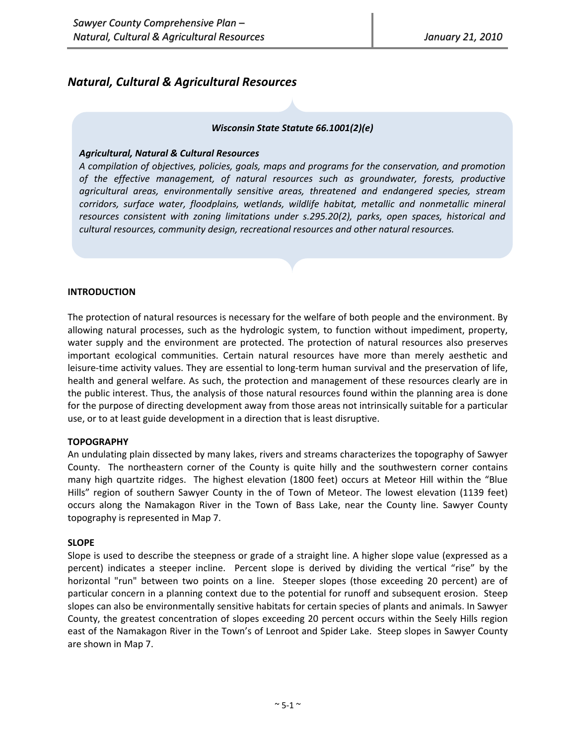# *Natural, Cultural & Agricultural Resources*

## *Wisconsin State Statute 66.1001(2)(e)*

#### *Agricultural, Natural & Cultural Resources*

*A compilation of objectives, policies, goals, maps and programs for the conservation, and promotion of the effective management, of natural resources such as groundwater, forests, productive agricultural areas, environmentally sensitive areas, threatened and endangered species, stream corridors, surface water, floodplains, wetlands, wildlife habitat, metallic and nonmetallic mineral resources consistent with zoning limitations under s.295.20(2), parks, open spaces, historical and cultural resources, community design, recreational resources and other natural resources.*

## **INTRODUCTION**

The protection of natural resources is necessary for the welfare of both people and the environment. By allowing natural processes, such as the hydrologic system, to function without impediment, property, water supply and the environment are protected. The protection of natural resources also preserves important ecological communities. Certain natural resources have more than merely aesthetic and leisure-time activity values. They are essential to long-term human survival and the preservation of life, health and general welfare. As such, the protection and management of these resources clearly are in the public interest. Thus, the analysis of those natural resources found within the planning area is done for the purpose of directing development away from those areas not intrinsically suitable for a particular use, or to at least guide development in a direction that is least disruptive.

## **TOPOGRAPHY**

An undulating plain dissected by many lakes, rivers and streams characterizes the topography of Sawyer County. The northeastern corner of the County is quite hilly and the southwestern corner contains many high quartzite ridges. The highest elevation (1800 feet) occurs at Meteor Hill within the "Blue Hills" region of southern Sawyer County in the of Town of Meteor. The lowest elevation (1139 feet) occurs along the Namakagon River in the Town of Bass Lake, near the County line. Sawyer County topography is represented in Map 7.

#### **SLOPE**

Slope is used to describe the steepness or grade of a straight line. A higher slope value (expressed as a percent) indicates a steeper incline. Percent slope is derived by dividing the vertical "rise" by the horizontal "run" between two points on a line. Steeper slopes (those exceeding 20 percent) are of particular concern in a planning context due to the potential for runoff and subsequent erosion. Steep slopes can also be environmentally sensitive habitats for certain species of plants and animals. In Sawyer County, the greatest concentration of slopes exceeding 20 percent occurs within the Seely Hills region east of the Namakagon River in the Town's of Lenroot and Spider Lake. Steep slopes in Sawyer County are shown in Map 7.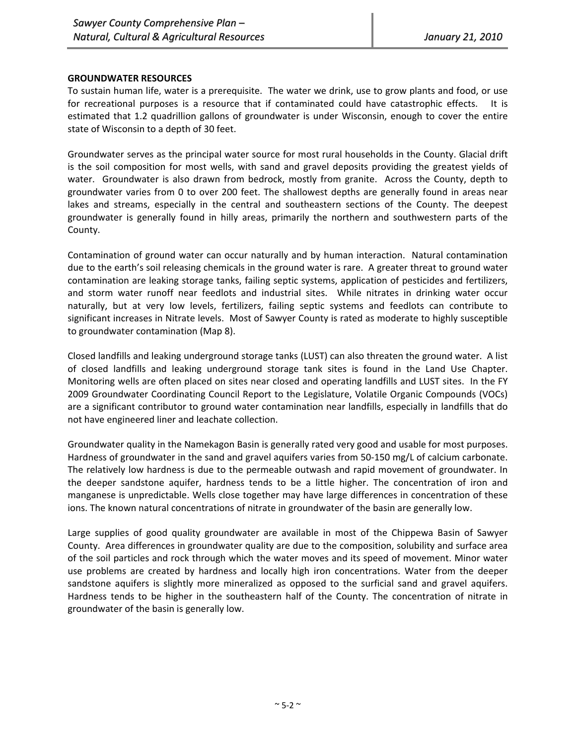## **GROUNDWATER RESOURCES**

To sustain human life, water is a prerequisite. The water we drink, use to grow plants and food, or use for recreational purposes is a resource that if contaminated could have catastrophic effects. It is estimated that 1.2 quadrillion gallons of groundwater is under Wisconsin, enough to cover the entire state of Wisconsin to a depth of 30 feet.

Groundwater serves as the principal water source for most rural households in the County. Glacial drift is the soil composition for most wells, with sand and gravel deposits providing the greatest yields of water. Groundwater is also drawn from bedrock, mostly from granite. Across the County, depth to groundwater varies from 0 to over 200 feet. The shallowest depths are generally found in areas near lakes and streams, especially in the central and southeastern sections of the County. The deepest groundwater is generally found in hilly areas, primarily the northern and southwestern parts of the County.

Contamination of ground water can occur naturally and by human interaction. Natural contamination due to the earth's soil releasing chemicals in the ground water is rare. A greater threat to ground water contamination are leaking storage tanks, failing septic systems, application of pesticides and fertilizers, and storm water runoff near feedlots and industrial sites. While nitrates in drinking water occur naturally, but at very low levels, fertilizers, failing septic systems and feedlots can contribute to significant increases in Nitrate levels. Most of Sawyer County is rated as moderate to highly susceptible to groundwater contamination (Map 8).

Closed landfills and leaking underground storage tanks (LUST) can also threaten the ground water. A list of closed landfills and leaking underground storage tank sites is found in the Land Use Chapter. Monitoring wells are often placed on sites near closed and operating landfills and LUST sites. In the FY 2009 Groundwater Coordinating Council Report to the Legislature, Volatile Organic Compounds (VOCs) are a significant contributor to ground water contamination near landfills, especially in landfills that do not have engineered liner and leachate collection.

Groundwater quality in the Namekagon Basin is generally rated very good and usable for most purposes. Hardness of groundwater in the sand and gravel aquifers varies from 50‐150 mg/L of calcium carbonate. The relatively low hardness is due to the permeable outwash and rapid movement of groundwater. In the deeper sandstone aquifer, hardness tends to be a little higher. The concentration of iron and manganese is unpredictable. Wells close together may have large differences in concentration of these ions. The known natural concentrations of nitrate in groundwater of the basin are generally low.

Large supplies of good quality groundwater are available in most of the Chippewa Basin of Sawyer County. Area differences in groundwater quality are due to the composition, solubility and surface area of the soil particles and rock through which the water moves and its speed of movement. Minor water use problems are created by hardness and locally high iron concentrations. Water from the deeper sandstone aquifers is slightly more mineralized as opposed to the surficial sand and gravel aquifers. Hardness tends to be higher in the southeastern half of the County. The concentration of nitrate in groundwater of the basin is generally low.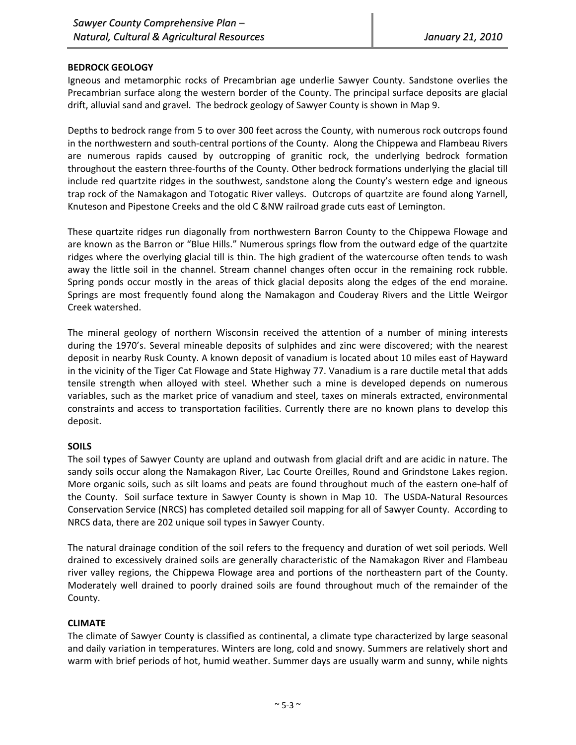## **BEDROCK GEOLOGY**

Igneous and metamorphic rocks of Precambrian age underlie Sawyer County. Sandstone overlies the Precambrian surface along the western border of the County. The principal surface deposits are glacial drift, alluvial sand and gravel. The bedrock geology of Sawyer County is shown in Map 9.

Depths to bedrock range from 5 to over 300 feet across the County, with numerous rock outcrops found in the northwestern and south‐central portions of the County. Along the Chippewa and Flambeau Rivers are numerous rapids caused by outcropping of granitic rock, the underlying bedrock formation throughout the eastern three‐fourths of the County. Other bedrock formations underlying the glacial till include red quartzite ridges in the southwest, sandstone along the County's western edge and igneous trap rock of the Namakagon and Totogatic River valleys. Outcrops of quartzite are found along Yarnell, Knuteson and Pipestone Creeks and the old C &NW railroad grade cuts east of Lemington.

These quartzite ridges run diagonally from northwestern Barron County to the Chippewa Flowage and are known as the Barron or "Blue Hills." Numerous springs flow from the outward edge of the quartzite ridges where the overlying glacial till is thin. The high gradient of the watercourse often tends to wash away the little soil in the channel. Stream channel changes often occur in the remaining rock rubble. Spring ponds occur mostly in the areas of thick glacial deposits along the edges of the end moraine. Springs are most frequently found along the Namakagon and Couderay Rivers and the Little Weirgor Creek watershed.

The mineral geology of northern Wisconsin received the attention of a number of mining interests during the 1970's. Several mineable deposits of sulphides and zinc were discovered; with the nearest deposit in nearby Rusk County. A known deposit of vanadium is located about 10 miles east of Hayward in the vicinity of the Tiger Cat Flowage and State Highway 77. Vanadium is a rare ductile metal that adds tensile strength when alloyed with steel. Whether such a mine is developed depends on numerous variables, such as the market price of vanadium and steel, taxes on minerals extracted, environmental constraints and access to transportation facilities. Currently there are no known plans to develop this deposit.

## **SOILS**

The soil types of Sawyer County are upland and outwash from glacial drift and are acidic in nature. The sandy soils occur along the Namakagon River, Lac Courte Oreilles, Round and Grindstone Lakes region. More organic soils, such as silt loams and peats are found throughout much of the eastern one‐half of the County. Soil surface texture in Sawyer County is shown in Map 10. The USDA‐Natural Resources Conservation Service (NRCS) has completed detailed soil mapping for all of Sawyer County. According to NRCS data, there are 202 unique soil types in Sawyer County.

The natural drainage condition of the soil refers to the frequency and duration of wet soil periods. Well drained to excessively drained soils are generally characteristic of the Namakagon River and Flambeau river valley regions, the Chippewa Flowage area and portions of the northeastern part of the County. Moderately well drained to poorly drained soils are found throughout much of the remainder of the County.

## **CLIMATE**

The climate of Sawyer County is classified as continental, a climate type characterized by large seasonal and daily variation in temperatures. Winters are long, cold and snowy. Summers are relatively short and warm with brief periods of hot, humid weather. Summer days are usually warm and sunny, while nights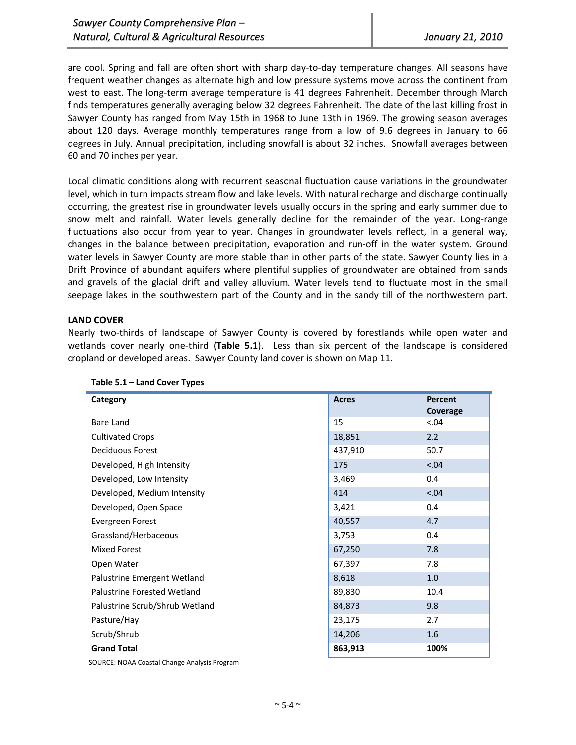are cool. Spring and fall are often short with sharp day-to-day temperature changes. All seasons have frequent weather changes as alternate high and low pressure systems move across the continent from west to east. The long-term average temperature is 41 degrees Fahrenheit. December through March finds temperatures generally averaging below 32 degrees Fahrenheit. The date of the last killing frost in Sawyer County has ranged from May 15th in 1968 to June 13th in 1969. The growing season averages about 120 days. Average monthly temperatures range from a low of 9.6 degrees in January to 66 degrees in July. Annual precipitation, including snowfall is about 32 inches. Snowfall averages between 60 and 70 inches per year.

Local climatic conditions along with recurrent seasonal fluctuation cause variations in the groundwater level, which in turn impacts stream flow and lake levels. With natural recharge and discharge continually occurring, the greatest rise in groundwater levels usually occurs in the spring and early summer due to snow melt and rainfall. Water levels generally decline for the remainder of the year. Long-range fluctuations also occur from year to year. Changes in groundwater levels reflect, in a general way, changes in the balance between precipitation, evaporation and run-off in the water system. Ground water levels in Sawyer County are more stable than in other parts of the state. Sawyer County lies in a Drift Province of abundant aquifers where plentiful supplies of groundwater are obtained from sands and gravels of the glacial drift and valley alluvium. Water levels tend to fluctuate most in the small seepage lakes in the southwestern part of the County and in the sandy till of the northwestern part.

## **LAND COVER**

Nearly two-thirds of landscape of Sawyer County is covered by forestlands while open water and wetlands cover nearly one‐third (**Table 5.1**). Less than six percent of the landscape is considered cropland or developed areas. Sawyer County land cover is shown on Map 11.

| Category                                     | <b>Acres</b> | Percent  |
|----------------------------------------------|--------------|----------|
|                                              |              | Coverage |
| Bare Land                                    | 15           | < .04    |
| <b>Cultivated Crops</b>                      | 18,851       | 2.2      |
| Deciduous Forest                             | 437,910      | 50.7     |
| Developed, High Intensity                    | 175          | 5.04     |
| Developed, Low Intensity                     | 3,469        | 0.4      |
| Developed, Medium Intensity                  | 414          | < .04    |
| Developed, Open Space                        | 3,421        | 0.4      |
| Evergreen Forest                             | 40,557       | 4.7      |
| Grassland/Herbaceous                         | 3,753        | 0.4      |
| Mixed Forest                                 | 67,250       | 7.8      |
| Open Water                                   | 67,397       | 7.8      |
| Palustrine Emergent Wetland                  | 8,618        | 1.0      |
| Palustrine Forested Wetland                  | 89,830       | 10.4     |
| Palustrine Scrub/Shrub Wetland               | 84,873       | 9.8      |
| Pasture/Hay                                  | 23,175       | 2.7      |
| Scrub/Shrub                                  | 14,206       | 1.6      |
| <b>Grand Total</b>                           | 863,913      | 100%     |
| SOURCE: NOAA Coastal Change Analysis Program |              |          |

**Table 5.1 – Land Cover Types**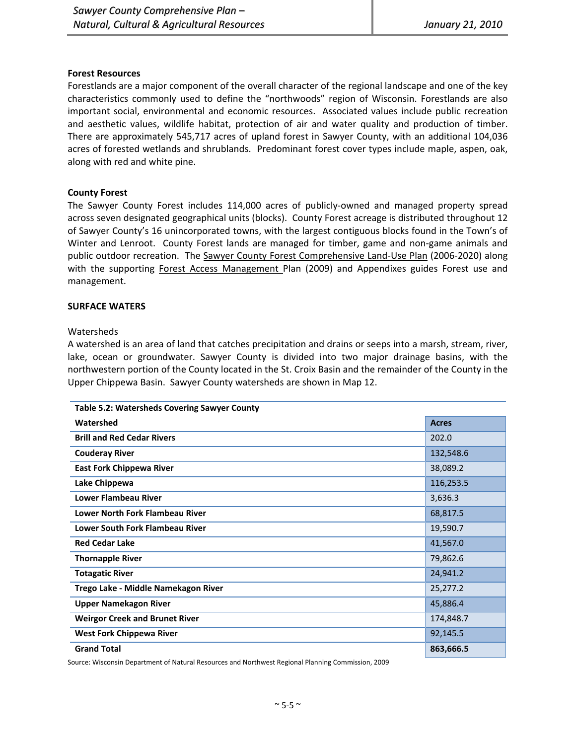#### **Forest Resources**

Forestlands are a major component of the overall character of the regional landscape and one of the key characteristics commonly used to define the "northwoods" region of Wisconsin. Forestlands are also important social, environmental and economic resources. Associated values include public recreation and aesthetic values, wildlife habitat, protection of air and water quality and production of timber. There are approximately 545,717 acres of upland forest in Sawyer County, with an additional 104,036 acres of forested wetlands and shrublands. Predominant forest cover types include maple, aspen, oak, along with red and white pine.

#### **County Forest**

The Sawyer County Forest includes 114,000 acres of publicly‐owned and managed property spread across seven designated geographical units (blocks). County Forest acreage is distributed throughout 12 of Sawyer County's 16 unincorporated towns, with the largest contiguous blocks found in the Town's of Winter and Lenroot. County Forest lands are managed for timber, game and non‐game animals and public outdoor recreation. The Sawyer County Forest Comprehensive Land‐Use Plan (2006‐2020) along with the supporting Forest Access Management Plan (2009) and Appendixes guides Forest use and management.

#### **SURFACE WATERS**

#### Watersheds

A watershed is an area of land that catches precipitation and drains or seeps into a marsh, stream, river, lake, ocean or groundwater. Sawyer County is divided into two major drainage basins, with the northwestern portion of the County located in the St. Croix Basin and the remainder of the County in the Upper Chippewa Basin. Sawyer County watersheds are shown in Map 12.

| <b>Table 5.2: Watersheds Covering Sawyer County</b> |              |
|-----------------------------------------------------|--------------|
| Watershed                                           | <b>Acres</b> |
| <b>Brill and Red Cedar Rivers</b>                   | 202.0        |
| <b>Couderay River</b>                               | 132,548.6    |
| <b>East Fork Chippewa River</b>                     | 38,089.2     |
| Lake Chippewa                                       | 116,253.5    |
| <b>Lower Flambeau River</b>                         | 3,636.3      |
| Lower North Fork Flambeau River                     | 68,817.5     |
| Lower South Fork Flambeau River                     | 19,590.7     |
| <b>Red Cedar Lake</b>                               | 41,567.0     |
| <b>Thornapple River</b>                             | 79,862.6     |
| <b>Totagatic River</b>                              | 24,941.2     |
| Trego Lake - Middle Namekagon River                 | 25,277.2     |
| <b>Upper Namekagon River</b>                        | 45,886.4     |
| <b>Weirgor Creek and Brunet River</b>               | 174,848.7    |
| <b>West Fork Chippewa River</b>                     | 92,145.5     |
| <b>Grand Total</b>                                  | 863,666.5    |

Source: Wisconsin Department of Natural Resources and Northwest Regional Planning Commission, 2009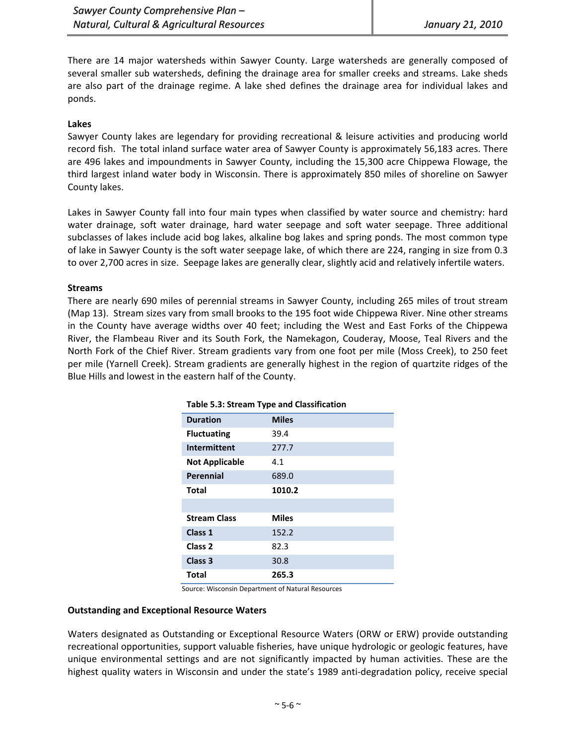There are 14 major watersheds within Sawyer County. Large watersheds are generally composed of several smaller sub watersheds, defining the drainage area for smaller creeks and streams. Lake sheds are also part of the drainage regime. A lake shed defines the drainage area for individual lakes and ponds.

## **Lakes**

Sawyer County lakes are legendary for providing recreational & leisure activities and producing world record fish. The total inland surface water area of Sawyer County is approximately 56,183 acres. There are 496 lakes and impoundments in Sawyer County, including the 15,300 acre Chippewa Flowage, the third largest inland water body in Wisconsin. There is approximately 850 miles of shoreline on Sawyer County lakes.

Lakes in Sawyer County fall into four main types when classified by water source and chemistry: hard water drainage, soft water drainage, hard water seepage and soft water seepage. Three additional subclasses of lakes include acid bog lakes, alkaline bog lakes and spring ponds. The most common type of lake in Sawyer County is the soft water seepage lake, of which there are 224, ranging in size from 0.3 to over 2,700 acres in size. Seepage lakes are generally clear, slightly acid and relatively infertile waters.

#### **Streams**

There are nearly 690 miles of perennial streams in Sawyer County, including 265 miles of trout stream (Map 13). Stream sizes vary from small brooks to the 195 foot wide Chippewa River. Nine other streams in the County have average widths over 40 feet; including the West and East Forks of the Chippewa River, the Flambeau River and its South Fork, the Namekagon, Couderay, Moose, Teal Rivers and the North Fork of the Chief River. Stream gradients vary from one foot per mile (Moss Creek), to 250 feet per mile (Yarnell Creek). Stream gradients are generally highest in the region of quartzite ridges of the Blue Hills and lowest in the eastern half of the County.

| Table 5.3: Stream Type and Classification |              |  |
|-------------------------------------------|--------------|--|
| <b>Duration</b>                           | <b>Miles</b> |  |
| <b>Fluctuating</b>                        | 39.4         |  |
| Intermittent                              | 277.7        |  |
| <b>Not Applicable</b>                     | 4.1          |  |
| <b>Perennial</b>                          | 689.0        |  |
| Total                                     | 1010.2       |  |
|                                           |              |  |
| <b>Stream Class</b>                       | <b>Miles</b> |  |
| Class 1                                   | 152.2        |  |
| Class <sub>2</sub>                        | 82.3         |  |
| Class <sub>3</sub>                        | 30.8         |  |
| Total                                     | 265.3        |  |

Source: Wisconsin Department of Natural Resources

## **Outstanding and Exceptional Resource Waters**

Waters designated as Outstanding or Exceptional Resource Waters (ORW or ERW) provide outstanding recreational opportunities, support valuable fisheries, have unique hydrologic or geologic features, have unique environmental settings and are not significantly impacted by human activities. These are the highest quality waters in Wisconsin and under the state's 1989 anti-degradation policy, receive special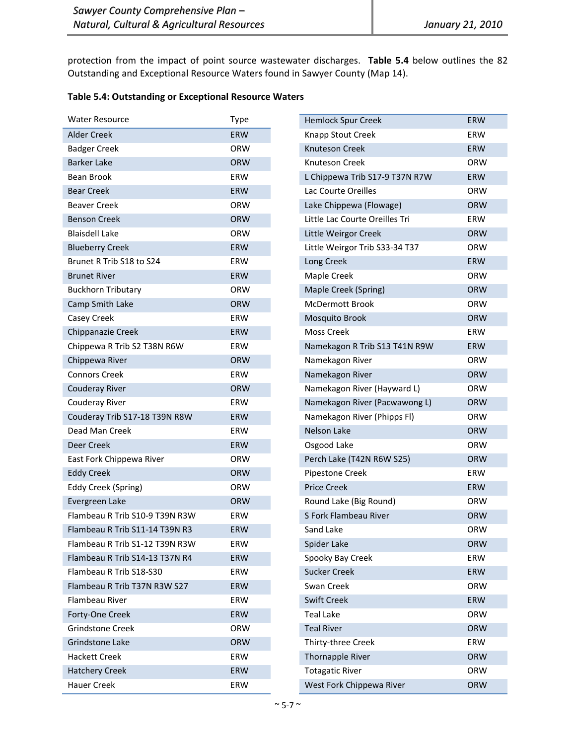protection from the impact of point source wastewater discharges. **Table 5.4** below outlines the 82 Outstanding and Exceptional Resource Waters found in Sawyer County (Map 14).

## **Table 5.4: Outstanding or Exceptional Resource Waters**

| <b>Water Resource</b>          | Type       |
|--------------------------------|------------|
| <b>Alder Creek</b>             | ERW        |
| <b>Badger Creek</b>            | ORW        |
| <b>Barker Lake</b>             | <b>ORW</b> |
| Bean Brook                     | ERW        |
| <b>Bear Creek</b>              | <b>ERW</b> |
| <b>Beaver Creek</b>            | ORW        |
| <b>Benson Creek</b>            | <b>ORW</b> |
| <b>Blaisdell Lake</b>          | ORW        |
| <b>Blueberry Creek</b>         | ERW        |
| Brunet R Trib S18 to S24       | ERW        |
| <b>Brunet River</b>            | <b>ERW</b> |
| <b>Buckhorn Tributary</b>      | ORW        |
| Camp Smith Lake                | ORW        |
| Casey Creek                    | ERW        |
| Chippanazie Creek              | <b>ERW</b> |
| Chippewa R Trib S2 T38N R6W    | ERW        |
| Chippewa River                 | ORW        |
| Connors Creek                  | ERW        |
| <b>Couderay River</b>          | ORW        |
| Couderay River                 | ERW        |
| Couderay Trib S17-18 T39N R8W  | <b>ERW</b> |
| Dead Man Creek                 | ERW        |
| Deer Creek                     | <b>ERW</b> |
| East Fork Chippewa River       | ORW        |
| <b>Eddy Creek</b>              | ORW        |
| <b>Eddy Creek (Spring)</b>     | ORW        |
| Evergreen Lake                 | <b>ORW</b> |
| Flambeau R Trib S10-9 T39N R3W | ERW        |
| Flambeau R Trib S11-14 T39N R3 | <b>ERW</b> |
| Flambeau R Trib S1-12 T39N R3W | ERW        |
| Flambeau R Trib S14-13 T37N R4 | ERW        |
| Flambeau R Trib S18-S30        | ERW        |
| Flambeau R Trib T37N R3W S27   | <b>ERW</b> |
| Flambeau River                 | ERW        |
| Forty-One Creek                | <b>ERW</b> |
| <b>Grindstone Creek</b>        | ORW        |
| <b>Grindstone Lake</b>         | ORW        |
| <b>Hackett Creek</b>           | ERW        |
| <b>Hatchery Creek</b>          | <b>ERW</b> |
| Hauer Creek                    | ERW        |

| <b>Hemlock Spur Creek</b>      | <b>ERW</b> |
|--------------------------------|------------|
| Knapp Stout Creek              | ERW        |
| Knuteson Creek                 | <b>ERW</b> |
| Knuteson Creek                 | ORW        |
| L Chippewa Trib S17-9 T37N R7W | <b>ERW</b> |
| Lac Courte Oreilles            | ORW        |
| Lake Chippewa (Flowage)        | <b>ORW</b> |
| Little Lac Courte Oreilles Tri | ERW        |
| Little Weirgor Creek           | <b>ORW</b> |
| Little Weirgor Trib S33-34 T37 | ORW        |
| Long Creek                     | <b>ERW</b> |
| Maple Creek                    | ORW        |
| Maple Creek (Spring)           | <b>ORW</b> |
| <b>McDermott Brook</b>         | ORW        |
| Mosquito Brook                 | <b>ORW</b> |
| Moss Creek                     | <b>FRW</b> |
| Namekagon R Trib S13 T41N R9W  | <b>ERW</b> |
| Namekagon River                | ORW        |
| Namekagon River                | <b>ORW</b> |
| Namekagon River (Hayward L)    | ORW        |
| Namekagon River (Pacwawong L)  | <b>ORW</b> |
| Namekagon River (Phipps Fl)    | ORW        |
| <b>Nelson Lake</b>             | <b>ORW</b> |
| Osgood Lake                    | ORW        |
| Perch Lake (T42N R6W S25)      | <b>ORW</b> |
| Pipestone Creek                | ERW        |
| <b>Price Creek</b>             | ERW        |
| Round Lake (Big Round)         | ORW        |
| S Fork Flambeau River          | <b>ORW</b> |
| Sand Lake                      | ORW        |
| Spider Lake                    | <b>ORW</b> |
| Spooky Bay Creek               | ERW        |
| <b>Sucker Creek</b>            | <b>ERW</b> |
| Swan Creek                     | ORW        |
| <b>Swift Creek</b>             | <b>ERW</b> |
| <b>Teal Lake</b>               | ORW        |
| <b>Teal River</b>              | ORW        |
| Thirty-three Creek             | ERW        |
| <b>Thornapple River</b>        | ORW        |
| <b>Totagatic River</b>         | ORW        |
| West Fork Chippewa River       | <b>ORW</b> |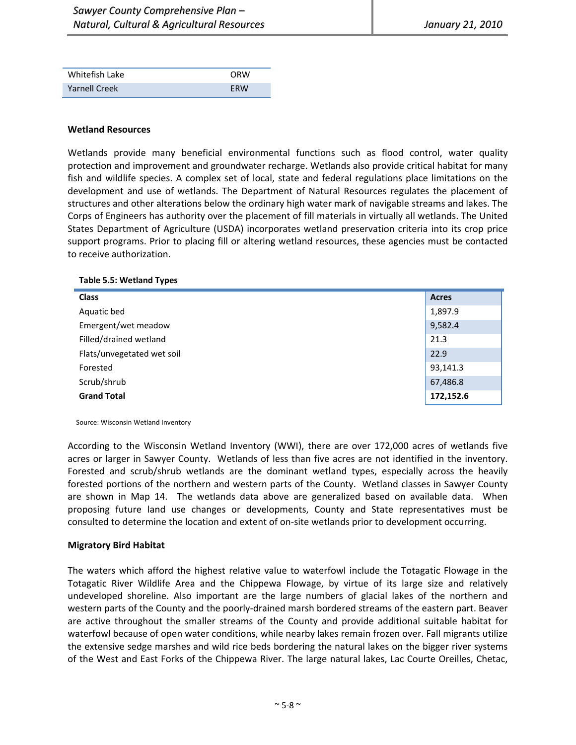| Whitefish Lake       | ORW        |
|----------------------|------------|
| <b>Yarnell Creek</b> | <b>FRW</b> |

#### **Wetland Resources**

Wetlands provide many beneficial environmental functions such as flood control, water quality protection and improvement and groundwater recharge. Wetlands also provide critical habitat for many fish and wildlife species. A complex set of local, state and federal regulations place limitations on the development and use of wetlands. The Department of Natural Resources regulates the placement of structures and other alterations below the ordinary high water mark of navigable streams and lakes. The Corps of Engineers has authority over the placement of fill materials in virtually all wetlands. The United States Department of Agriculture (USDA) incorporates wetland preservation criteria into its crop price support programs. Prior to placing fill or altering wetland resources, these agencies must be contacted to receive authorization.

**Table 5.5: Wetland Types**

| <b>Class</b>               | <b>Acres</b> |
|----------------------------|--------------|
| Aquatic bed                | 1,897.9      |
| Emergent/wet meadow        | 9,582.4      |
| Filled/drained wetland     | 21.3         |
| Flats/unvegetated wet soil | 22.9         |
| Forested                   | 93,141.3     |
| Scrub/shrub                | 67,486.8     |
| <b>Grand Total</b>         | 172,152.6    |

Source: Wisconsin Wetland Inventory

According to the Wisconsin Wetland Inventory (WWI), there are over 172,000 acres of wetlands five acres or larger in Sawyer County. Wetlands of less than five acres are not identified in the inventory. Forested and scrub/shrub wetlands are the dominant wetland types, especially across the heavily forested portions of the northern and western parts of the County. Wetland classes in Sawyer County are shown in Map 14. The wetlands data above are generalized based on available data. When proposing future land use changes or developments, County and State representatives must be consulted to determine the location and extent of on-site wetlands prior to development occurring.

#### **Migratory Bird Habitat**

The waters which afford the highest relative value to waterfowl include the Totagatic Flowage in the Totagatic River Wildlife Area and the Chippewa Flowage, by virtue of its large size and relatively undeveloped shoreline. Also important are the large numbers of glacial lakes of the northern and western parts of the County and the poorly‐drained marsh bordered streams of the eastern part. Beaver are active throughout the smaller streams of the County and provide additional suitable habitat for waterfowl because of open water conditions, while nearby lakes remain frozen over. Fall migrants utilize the extensive sedge marshes and wild rice beds bordering the natural lakes on the bigger river systems of the West and East Forks of the Chippewa River. The large natural lakes, Lac Courte Oreilles, Chetac,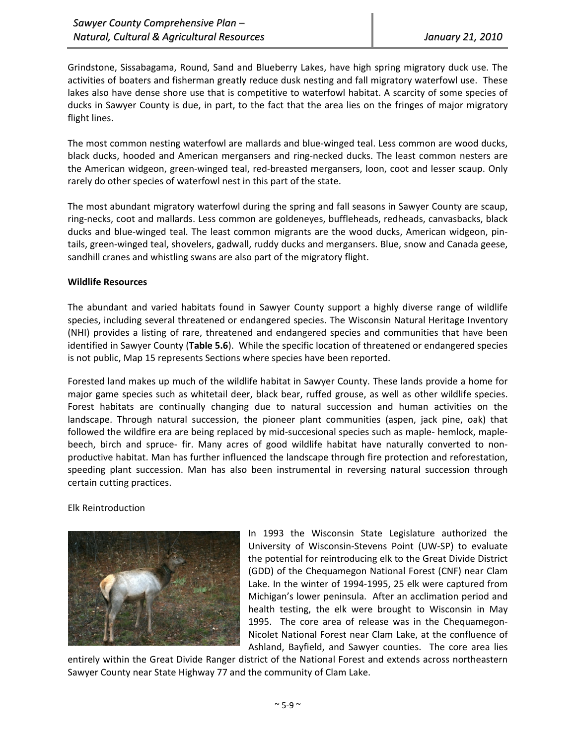Grindstone, Sissabagama, Round, Sand and Blueberry Lakes, have high spring migratory duck use. The activities of boaters and fisherman greatly reduce dusk nesting and fall migratory waterfowl use. These lakes also have dense shore use that is competitive to waterfowl habitat. A scarcity of some species of ducks in Sawyer County is due, in part, to the fact that the area lies on the fringes of major migratory flight lines.

The most common nesting waterfowl are mallards and blue‐winged teal. Less common are wood ducks, black ducks, hooded and American mergansers and ring‐necked ducks. The least common nesters are the American widgeon, green-winged teal, red-breasted mergansers, loon, coot and lesser scaup. Only rarely do other species of waterfowl nest in this part of the state.

The most abundant migratory waterfowl during the spring and fall seasons in Sawyer County are scaup, ring‐necks, coot and mallards. Less common are goldeneyes, buffleheads, redheads, canvasbacks, black ducks and blue‐winged teal. The least common migrants are the wood ducks, American widgeon, pin‐ tails, green‐winged teal, shovelers, gadwall, ruddy ducks and mergansers. Blue, snow and Canada geese, sandhill cranes and whistling swans are also part of the migratory flight.

## **Wildlife Resources**

The abundant and varied habitats found in Sawyer County support a highly diverse range of wildlife species, including several threatened or endangered species. The Wisconsin Natural Heritage Inventory (NHI) provides a listing of rare, threatened and endangered species and communities that have been identified in Sawyer County (**Table 5.6**). While the specific location of threatened or endangered species is not public, Map 15 represents Sections where species have been reported.

Forested land makes up much of the wildlife habitat in Sawyer County. These lands provide a home for major game species such as whitetail deer, black bear, ruffed grouse, as well as other wildlife species. Forest habitats are continually changing due to natural succession and human activities on the landscape. Through natural succession, the pioneer plant communities (aspen, jack pine, oak) that followed the wildfire era are being replaced by mid-succesional species such as maple- hemlock, maplebeech, birch and spruce- fir. Many acres of good wildlife habitat have naturally converted to nonproductive habitat. Man has further influenced the landscape through fire protection and reforestation, speeding plant succession. Man has also been instrumental in reversing natural succession through certain cutting practices.

Elk Reintroduction



In 1993 the Wisconsin State Legislature authorized the University of Wisconsin‐Stevens Point (UW‐SP) to evaluate the potential for reintroducing elk to the Great Divide District (GDD) of the Chequamegon National Forest (CNF) near Clam Lake. In the winter of 1994‐1995, 25 elk were captured from Michigan's lower peninsula. After an acclimation period and health testing, the elk were brought to Wisconsin in May 1995. The core area of release was in the Chequamegon-Nicolet National Forest near Clam Lake, at the confluence of Ashland, Bayfield, and Sawyer counties. The core area lies

entirely within the Great Divide Ranger district of the National Forest and extends across northeastern Sawyer County near State Highway 77 and the community of Clam Lake.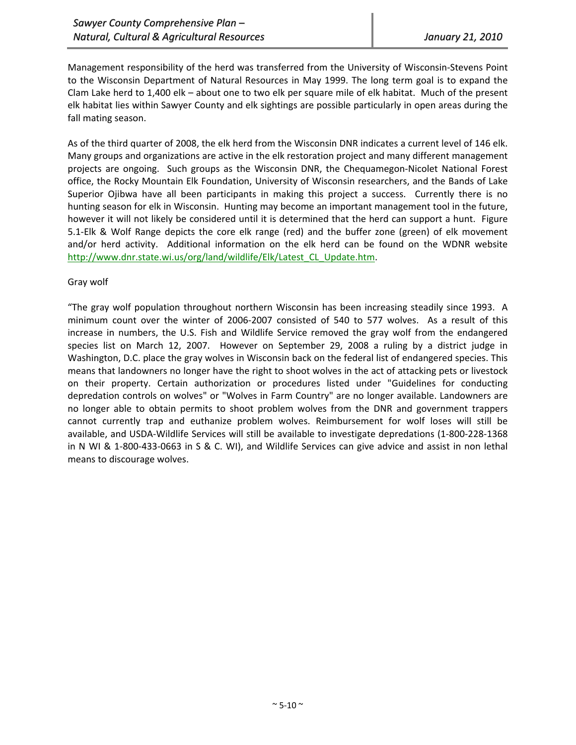Management responsibility of the herd was transferred from the University of Wisconsin‐Stevens Point to the Wisconsin Department of Natural Resources in May 1999. The long term goal is to expand the Clam Lake herd to 1,400 elk – about one to two elk per square mile of elk habitat. Much of the present elk habitat lies within Sawyer County and elk sightings are possible particularly in open areas during the fall mating season.

As of the third quarter of 2008, the elk herd from the Wisconsin DNR indicates a current level of 146 elk. Many groups and organizations are active in the elk restoration project and many different management projects are ongoing. Such groups as the Wisconsin DNR, the Chequamegon‐Nicolet National Forest office, the Rocky Mountain Elk Foundation, University of Wisconsin researchers, and the Bands of Lake Superior Ojibwa have all been participants in making this project a success. Currently there is no hunting season for elk in Wisconsin. Hunting may become an important management tool in the future, however it will not likely be considered until it is determined that the herd can support a hunt. Figure 5.1‐Elk & Wolf Range depicts the core elk range (red) and the buffer zone (green) of elk movement and/or herd activity. Additional information on the elk herd can be found on the WDNR website http://www.dnr.state.wi.us/org/land/wildlife/Elk/Latest\_CL\_Update.htm.

## Gray wolf

"The gray wolf population throughout northern Wisconsin has been increasing steadily since 1993. A minimum count over the winter of 2006‐2007 consisted of 540 to 577 wolves. As a result of this increase in numbers, the U.S. Fish and Wildlife Service removed the gray wolf from the endangered species list on March 12, 2007. However on September 29, 2008 a ruling by a district judge in Washington, D.C. place the gray wolves in Wisconsin back on the federal list of endangered species. This means that landowners no longer have the right to shoot wolves in the act of attacking pets or livestock on their property. Certain authorization or procedures listed under "Guidelines for conducting depredation controls on wolves" or "Wolves in Farm Country" are no longer available. Landowners are no longer able to obtain permits to shoot problem wolves from the DNR and government trappers cannot currently trap and euthanize problem wolves. Reimbursement for wolf loses will still be available, and USDA‐Wildlife Services will still be available to investigate depredations (1‐800‐228‐1368 in N WI & 1‐800‐433‐0663 in S & C. WI), and Wildlife Services can give advice and assist in non lethal means to discourage wolves.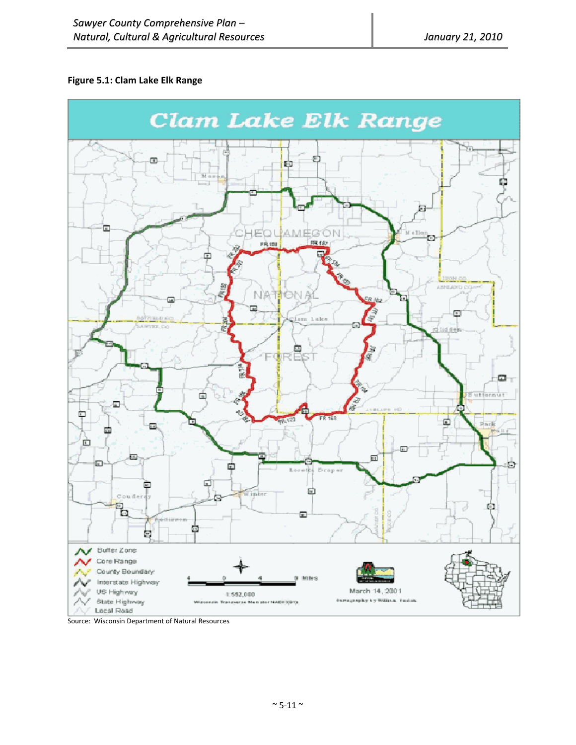## **Figure 5.1: Clam Lake Elk Range**



Source: Wisconsin Department of Natural Resources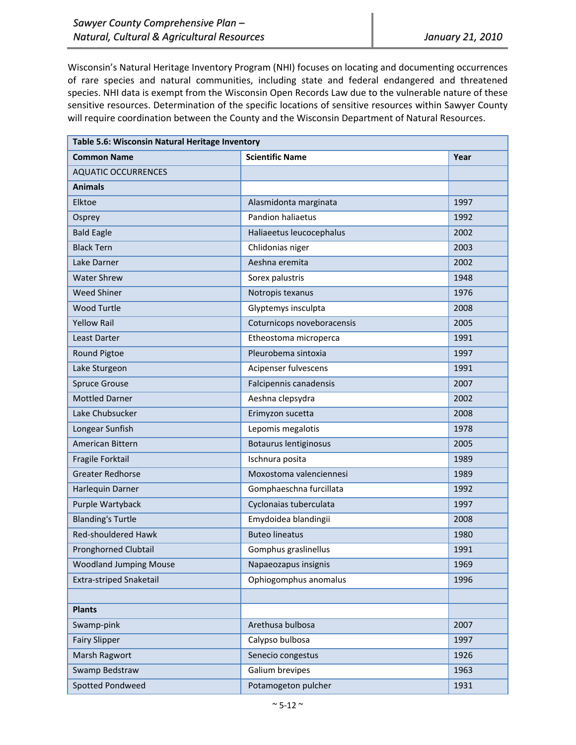Wisconsin's Natural Heritage Inventory Program (NHI) focuses on locating and documenting occurrences of rare species and natural communities, including state and federal endangered and threatened species. NHI data is exempt from the Wisconsin Open Records Law due to the vulnerable nature of these sensitive resources. Determination of the specific locations of sensitive resources within Sawyer County will require coordination between the County and the Wisconsin Department of Natural Resources.

| Table 5.6: Wisconsin Natural Heritage Inventory |                            |      |  |
|-------------------------------------------------|----------------------------|------|--|
| <b>Common Name</b>                              | <b>Scientific Name</b>     | Year |  |
| <b>AQUATIC OCCURRENCES</b>                      |                            |      |  |
| <b>Animals</b>                                  |                            |      |  |
| Elktoe                                          | Alasmidonta marginata      | 1997 |  |
| Osprey                                          | <b>Pandion haliaetus</b>   | 1992 |  |
| <b>Bald Eagle</b>                               | Haliaeetus leucocephalus   | 2002 |  |
| <b>Black Tern</b>                               | Chlidonias niger           | 2003 |  |
| Lake Darner                                     | Aeshna eremita             | 2002 |  |
| <b>Water Shrew</b>                              | Sorex palustris            | 1948 |  |
| <b>Weed Shiner</b>                              | Notropis texanus           | 1976 |  |
| <b>Wood Turtle</b>                              | Glyptemys insculpta        | 2008 |  |
| <b>Yellow Rail</b>                              | Coturnicops noveboracensis | 2005 |  |
| Least Darter                                    | Etheostoma microperca      | 1991 |  |
| Round Pigtoe                                    | Pleurobema sintoxia        | 1997 |  |
| Lake Sturgeon                                   | Acipenser fulvescens       | 1991 |  |
| <b>Spruce Grouse</b>                            | Falcipennis canadensis     | 2007 |  |
| <b>Mottled Darner</b>                           | Aeshna clepsydra           | 2002 |  |
| Lake Chubsucker                                 | Erimyzon sucetta           | 2008 |  |
| Longear Sunfish                                 | Lepomis megalotis          | 1978 |  |
| American Bittern                                | Botaurus lentiginosus      | 2005 |  |
| Fragile Forktail                                | Ischnura posita            | 1989 |  |
| <b>Greater Redhorse</b>                         | Moxostoma valenciennesi    | 1989 |  |
| Harlequin Darner                                | Gomphaeschna furcillata    | 1992 |  |
| Purple Wartyback                                | Cyclonaias tuberculata     | 1997 |  |
| <b>Blanding's Turtle</b>                        | Emydoidea blandingii       | 2008 |  |
| Red-shouldered Hawk                             | <b>Buteo lineatus</b>      | 1980 |  |
| <b>Pronghorned Clubtail</b>                     | Gomphus graslinellus       | 1991 |  |
| <b>Woodland Jumping Mouse</b>                   | Napaeozapus insignis       | 1969 |  |
| <b>Extra-striped Snaketail</b>                  | Ophiogomphus anomalus      | 1996 |  |
|                                                 |                            |      |  |
| <b>Plants</b>                                   |                            |      |  |
| Swamp-pink                                      | Arethusa bulbosa           | 2007 |  |
| <b>Fairy Slipper</b>                            | Calypso bulbosa            | 1997 |  |
| Marsh Ragwort                                   | Senecio congestus          | 1926 |  |
| Swamp Bedstraw                                  | Galium brevipes            | 1963 |  |
| <b>Spotted Pondweed</b>                         | Potamogeton pulcher        | 1931 |  |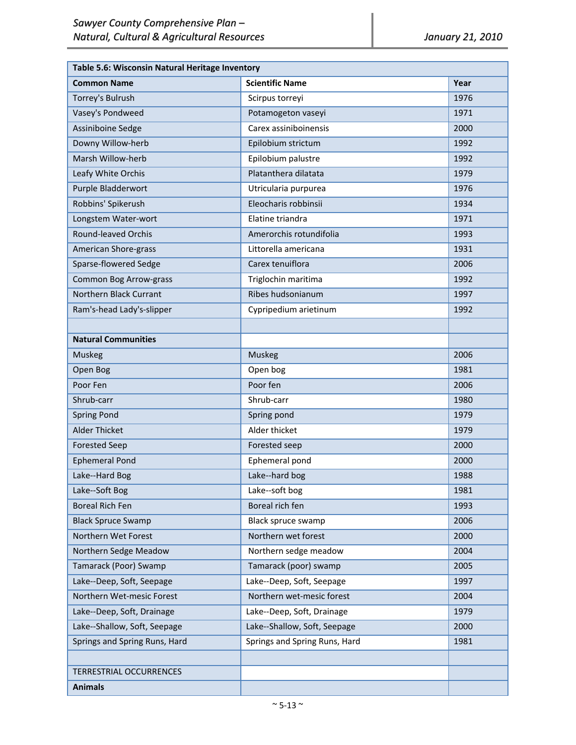| Table 5.6: Wisconsin Natural Heritage Inventory |                               |      |  |
|-------------------------------------------------|-------------------------------|------|--|
| <b>Common Name</b>                              | <b>Scientific Name</b>        | Year |  |
| Torrey's Bulrush                                | Scirpus torreyi               | 1976 |  |
| Vasey's Pondweed                                | Potamogeton vaseyi            | 1971 |  |
| Assiniboine Sedge                               | Carex assiniboinensis         | 2000 |  |
| Downy Willow-herb                               | Epilobium strictum            | 1992 |  |
| Marsh Willow-herb                               | Epilobium palustre            | 1992 |  |
| Leafy White Orchis                              | Platanthera dilatata          | 1979 |  |
| Purple Bladderwort                              | Utricularia purpurea          | 1976 |  |
| Robbins' Spikerush                              | Eleocharis robbinsii          | 1934 |  |
| Longstem Water-wort                             | Elatine triandra              | 1971 |  |
| <b>Round-leaved Orchis</b>                      | Amerorchis rotundifolia       | 1993 |  |
| American Shore-grass                            | Littorella americana          | 1931 |  |
| Sparse-flowered Sedge                           | Carex tenuiflora              | 2006 |  |
| <b>Common Bog Arrow-grass</b>                   | Triglochin maritima           | 1992 |  |
| Northern Black Currant                          | Ribes hudsonianum             | 1997 |  |
| Ram's-head Lady's-slipper                       | Cypripedium arietinum         | 1992 |  |
|                                                 |                               |      |  |
| <b>Natural Communities</b>                      |                               |      |  |
| Muskeg                                          | Muskeg                        | 2006 |  |
| Open Bog                                        | Open bog                      | 1981 |  |
| Poor Fen                                        | Poor fen                      | 2006 |  |
| Shrub-carr                                      | Shrub-carr                    | 1980 |  |
| <b>Spring Pond</b>                              | Spring pond                   | 1979 |  |
| <b>Alder Thicket</b>                            | Alder thicket                 | 1979 |  |
| <b>Forested Seep</b>                            | Forested seep                 | 2000 |  |
| <b>Ephemeral Pond</b>                           | Ephemeral pond                | 2000 |  |
| Lake--Hard Bog                                  | Lake--hard bog                | 1988 |  |
| Lake--Soft Bog                                  | Lake--soft bog                | 1981 |  |
| <b>Boreal Rich Fen</b>                          | Boreal rich fen               | 1993 |  |
| <b>Black Spruce Swamp</b>                       | Black spruce swamp            | 2006 |  |
| Northern Wet Forest                             | Northern wet forest           | 2000 |  |
| Northern Sedge Meadow                           | Northern sedge meadow         | 2004 |  |
| Tamarack (Poor) Swamp                           | Tamarack (poor) swamp         | 2005 |  |
| Lake--Deep, Soft, Seepage                       | Lake--Deep, Soft, Seepage     | 1997 |  |
| Northern Wet-mesic Forest                       | Northern wet-mesic forest     | 2004 |  |
| Lake--Deep, Soft, Drainage                      | Lake--Deep, Soft, Drainage    | 1979 |  |
| Lake--Shallow, Soft, Seepage                    | Lake--Shallow, Soft, Seepage  | 2000 |  |
| Springs and Spring Runs, Hard                   | Springs and Spring Runs, Hard | 1981 |  |
|                                                 |                               |      |  |
| <b>TERRESTRIAL OCCURRENCES</b>                  |                               |      |  |
| <b>Animals</b>                                  |                               |      |  |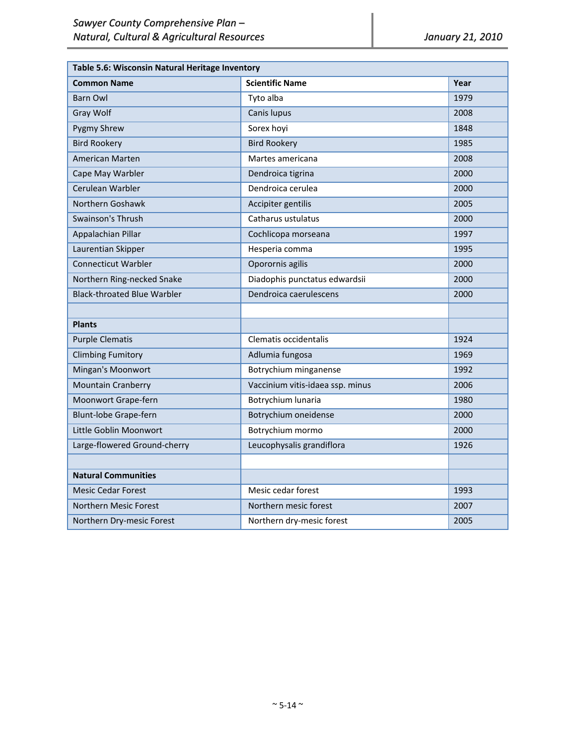| Table 5.6: Wisconsin Natural Heritage Inventory |                                  |      |  |
|-------------------------------------------------|----------------------------------|------|--|
| <b>Common Name</b>                              | <b>Scientific Name</b>           | Year |  |
| <b>Barn Owl</b>                                 | Tyto alba                        | 1979 |  |
| Gray Wolf                                       | Canis lupus                      | 2008 |  |
| <b>Pygmy Shrew</b>                              | Sorex hoyi                       | 1848 |  |
| <b>Bird Rookery</b>                             | <b>Bird Rookery</b>              | 1985 |  |
| <b>American Marten</b>                          | Martes americana                 | 2008 |  |
| Cape May Warbler                                | Dendroica tigrina                | 2000 |  |
| Cerulean Warbler                                | Dendroica cerulea                | 2000 |  |
| Northern Goshawk                                | Accipiter gentilis               | 2005 |  |
| Swainson's Thrush                               | Catharus ustulatus               | 2000 |  |
| Appalachian Pillar                              | Cochlicopa morseana              | 1997 |  |
| Laurentian Skipper                              | Hesperia comma                   | 1995 |  |
| <b>Connecticut Warbler</b>                      | Oporornis agilis                 | 2000 |  |
| Northern Ring-necked Snake                      | Diadophis punctatus edwardsii    | 2000 |  |
| <b>Black-throated Blue Warbler</b>              | Dendroica caerulescens           | 2000 |  |
|                                                 |                                  |      |  |
| <b>Plants</b>                                   |                                  |      |  |
| <b>Purple Clematis</b>                          | Clematis occidentalis            | 1924 |  |
| <b>Climbing Fumitory</b>                        | Adlumia fungosa                  | 1969 |  |
| Mingan's Moonwort                               | Botrychium minganense            | 1992 |  |
| <b>Mountain Cranberry</b>                       | Vaccinium vitis-idaea ssp. minus | 2006 |  |
| Moonwort Grape-fern                             | Botrychium lunaria               | 1980 |  |
| Blunt-lobe Grape-fern                           | Botrychium oneidense             | 2000 |  |
| Little Goblin Moonwort                          | Botrychium mormo                 | 2000 |  |
| Large-flowered Ground-cherry                    | Leucophysalis grandiflora        | 1926 |  |
|                                                 |                                  |      |  |
| <b>Natural Communities</b>                      |                                  |      |  |
| <b>Mesic Cedar Forest</b>                       | Mesic cedar forest               | 1993 |  |
| Northern Mesic Forest                           | Northern mesic forest            | 2007 |  |
| Northern Dry-mesic Forest                       | Northern dry-mesic forest        | 2005 |  |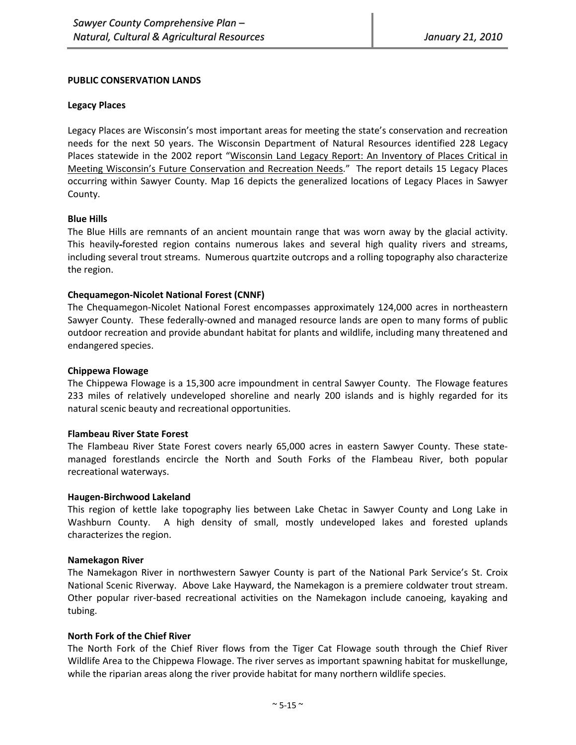#### **PUBLIC CONSERVATION LANDS**

#### **Legacy Places**

Legacy Places are Wisconsin's most important areas for meeting the state's conservation and recreation needs for the next 50 years. The Wisconsin Department of Natural Resources identified 228 Legacy Places statewide in the 2002 report "Wisconsin Land Legacy Report: An Inventory of Places Critical in Meeting Wisconsin's Future Conservation and Recreation Needs." The report details 15 Legacy Places occurring within Sawyer County. Map 16 depicts the generalized locations of Legacy Places in Sawyer County.

#### **Blue Hills**

The Blue Hills are remnants of an ancient mountain range that was worn away by the glacial activity. This heavily‐forested region contains numerous lakes and several high quality rivers and streams, including several trout streams. Numerous quartzite outcrops and a rolling topography also characterize the region.

#### **Chequamegon‐Nicolet National Forest (CNNF)**

The Chequamegon‐Nicolet National Forest encompasses approximately 124,000 acres in northeastern Sawyer County. These federally-owned and managed resource lands are open to many forms of public outdoor recreation and provide abundant habitat for plants and wildlife, including many threatened and endangered species.

#### **Chippewa Flowage**

The Chippewa Flowage is a 15,300 acre impoundment in central Sawyer County. The Flowage features 233 miles of relatively undeveloped shoreline and nearly 200 islands and is highly regarded for its natural scenic beauty and recreational opportunities.

#### **Flambeau River State Forest**

The Flambeau River State Forest covers nearly 65,000 acres in eastern Sawyer County. These state‐ managed forestlands encircle the North and South Forks of the Flambeau River, both popular recreational waterways.

#### **Haugen‐Birchwood Lakeland**

This region of kettle lake topography lies between Lake Chetac in Sawyer County and Long Lake in Washburn County. A high density of small, mostly undeveloped lakes and forested uplands characterizes the region.

#### **Namekagon River**

The Namekagon River in northwestern Sawyer County is part of the National Park Service's St. Croix National Scenic Riverway. Above Lake Hayward, the Namekagon is a premiere coldwater trout stream. Other popular river‐based recreational activities on the Namekagon include canoeing, kayaking and tubing.

## **North Fork of the Chief River**

The North Fork of the Chief River flows from the Tiger Cat Flowage south through the Chief River Wildlife Area to the Chippewa Flowage. The river serves as important spawning habitat for muskellunge, while the riparian areas along the river provide habitat for many northern wildlife species.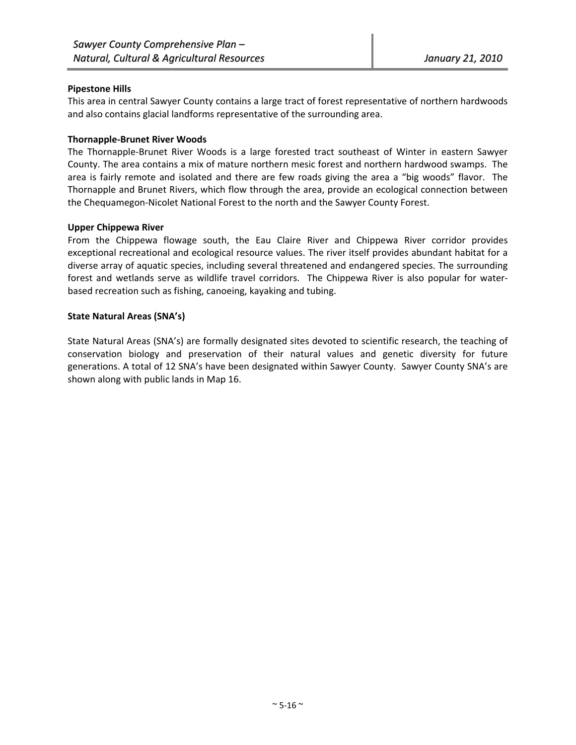#### **Pipestone Hills**

This area in central Sawyer County contains a large tract of forest representative of northern hardwoods and also contains glacial landforms representative of the surrounding area.

#### **Thornapple‐Brunet River Woods**

The Thornapple‐Brunet River Woods is a large forested tract southeast of Winter in eastern Sawyer County. The area contains a mix of mature northern mesic forest and northern hardwood swamps. The area is fairly remote and isolated and there are few roads giving the area a "big woods" flavor. The Thornapple and Brunet Rivers, which flow through the area, provide an ecological connection between the Chequamegon‐Nicolet National Forest to the north and the Sawyer County Forest.

#### **Upper Chippewa River**

From the Chippewa flowage south, the Eau Claire River and Chippewa River corridor provides exceptional recreational and ecological resource values. The river itself provides abundant habitat for a diverse array of aquatic species, including several threatened and endangered species. The surrounding forest and wetlands serve as wildlife travel corridors. The Chippewa River is also popular for waterbased recreation such as fishing, canoeing, kayaking and tubing.

#### **State Natural Areas (SNA's)**

State Natural Areas (SNA's) are formally designated sites devoted to scientific research, the teaching of conservation biology and preservation of their natural values and genetic diversity for future generations. A total of 12 SNA's have been designated within Sawyer County. Sawyer County SNA's are shown along with public lands in Map 16.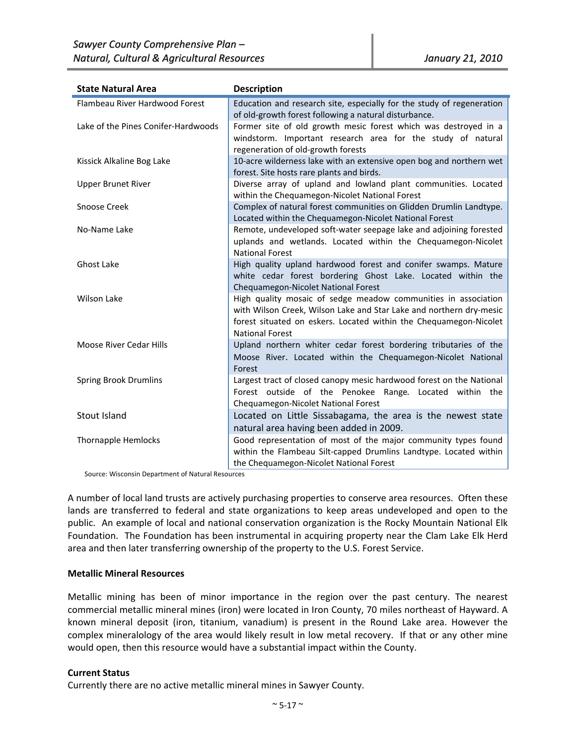| <b>State Natural Area</b>           | <b>Description</b>                                                                                                                                                                                                                   |
|-------------------------------------|--------------------------------------------------------------------------------------------------------------------------------------------------------------------------------------------------------------------------------------|
| Flambeau River Hardwood Forest      | Education and research site, especially for the study of regeneration<br>of old-growth forest following a natural disturbance.                                                                                                       |
| Lake of the Pines Conifer-Hardwoods | Former site of old growth mesic forest which was destroyed in a<br>windstorm. Important research area for the study of natural<br>regeneration of old-growth forests                                                                 |
| Kissick Alkaline Bog Lake           | 10-acre wilderness lake with an extensive open bog and northern wet<br>forest. Site hosts rare plants and birds.                                                                                                                     |
| <b>Upper Brunet River</b>           | Diverse array of upland and lowland plant communities. Located<br>within the Chequamegon-Nicolet National Forest                                                                                                                     |
| Snoose Creek                        | Complex of natural forest communities on Glidden Drumlin Landtype.<br>Located within the Chequamegon-Nicolet National Forest                                                                                                         |
| No-Name Lake                        | Remote, undeveloped soft-water seepage lake and adjoining forested<br>uplands and wetlands. Located within the Chequamegon-Nicolet<br><b>National Forest</b>                                                                         |
| <b>Ghost Lake</b>                   | High quality upland hardwood forest and conifer swamps. Mature<br>white cedar forest bordering Ghost Lake. Located within the<br>Chequamegon-Nicolet National Forest                                                                 |
| <b>Wilson Lake</b>                  | High quality mosaic of sedge meadow communities in association<br>with Wilson Creek, Wilson Lake and Star Lake and northern dry-mesic<br>forest situated on eskers. Located within the Chequamegon-Nicolet<br><b>National Forest</b> |
| <b>Moose River Cedar Hills</b>      | Upland northern whiter cedar forest bordering tributaries of the<br>Moose River. Located within the Chequamegon-Nicolet National<br>Forest                                                                                           |
| <b>Spring Brook Drumlins</b>        | Largest tract of closed canopy mesic hardwood forest on the National<br>Forest outside of the Penokee Range. Located within the<br>Chequamegon-Nicolet National Forest                                                               |
| Stout Island                        | Located on Little Sissabagama, the area is the newest state<br>natural area having been added in 2009.                                                                                                                               |
| <b>Thornapple Hemlocks</b>          | Good representation of most of the major community types found<br>within the Flambeau Silt-capped Drumlins Landtype. Located within<br>the Chequamegon-Nicolet National Forest                                                       |

Source: Wisconsin Department of Natural Resources

A number of local land trusts are actively purchasing properties to conserve area resources. Often these lands are transferred to federal and state organizations to keep areas undeveloped and open to the public. An example of local and national conservation organization is the Rocky Mountain National Elk Foundation. The Foundation has been instrumental in acquiring property near the Clam Lake Elk Herd area and then later transferring ownership of the property to the U.S. Forest Service.

#### **Metallic Mineral Resources**

Metallic mining has been of minor importance in the region over the past century. The nearest commercial metallic mineral mines (iron) were located in Iron County, 70 miles northeast of Hayward. A known mineral deposit (iron, titanium, vanadium) is present in the Round Lake area. However the complex mineralology of the area would likely result in low metal recovery. If that or any other mine would open, then this resource would have a substantial impact within the County.

## **Current Status**

Currently there are no active metallic mineral mines in Sawyer County.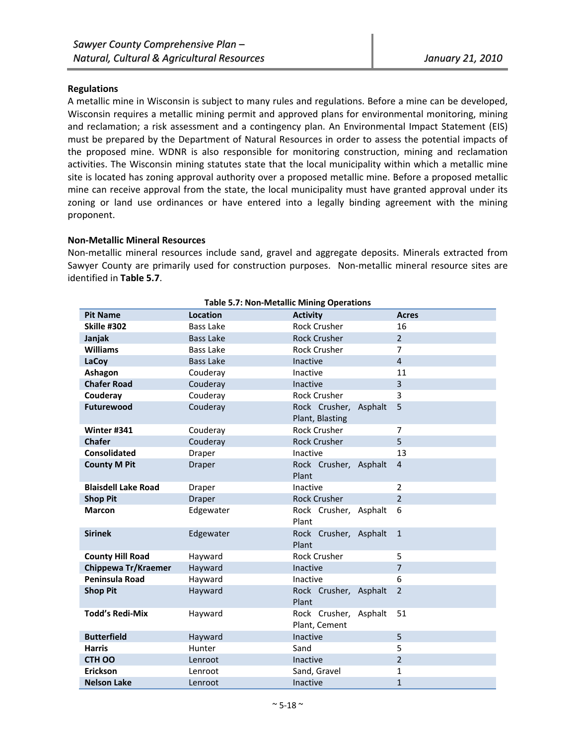#### **Regulations**

A metallic mine in Wisconsin is subject to many rules and regulations. Before a mine can be developed, Wisconsin requires a metallic mining permit and approved plans for environmental monitoring, mining and reclamation; a risk assessment and a contingency plan. An Environmental Impact Statement (EIS) must be prepared by the Department of Natural Resources in order to assess the potential impacts of the proposed mine. WDNR is also responsible for monitoring construction, mining and reclamation activities. The Wisconsin mining statutes state that the local municipality within which a metallic mine site is located has zoning approval authority over a proposed metallic mine. Before a proposed metallic mine can receive approval from the state, the local municipality must have granted approval under its zoning or land use ordinances or have entered into a legally binding agreement with the mining proponent.

#### **Non‐Metallic Mineral Resources**

Non-metallic mineral resources include sand, gravel and aggregate deposits. Minerals extracted from Sawyer County are primarily used for construction purposes. Non‐metallic mineral resource sites are identified in **Table 5.7**.

| <b>Table 5.7: Non-Metallic Mining Operations</b> |                  |                                          |                |  |
|--------------------------------------------------|------------------|------------------------------------------|----------------|--|
| <b>Pit Name</b>                                  | <b>Location</b>  | <b>Activity</b>                          | <b>Acres</b>   |  |
| Skille #302                                      | Bass Lake        | <b>Rock Crusher</b>                      | 16             |  |
| Janjak                                           | <b>Bass Lake</b> | <b>Rock Crusher</b>                      | $\overline{2}$ |  |
| <b>Williams</b>                                  | Bass Lake        | <b>Rock Crusher</b>                      | $\overline{7}$ |  |
| LaCoy                                            | <b>Bass Lake</b> | Inactive                                 | $\overline{4}$ |  |
| Ashagon                                          | Couderay         | Inactive                                 | 11             |  |
| <b>Chafer Road</b>                               | Couderay         | Inactive                                 | 3              |  |
| Couderay                                         | Couderay         | <b>Rock Crusher</b>                      | 3              |  |
| Futurewood                                       | Couderay         | Rock Crusher, Asphalt<br>Plant, Blasting | 5              |  |
| Winter #341                                      | Couderay         | <b>Rock Crusher</b>                      | $\overline{7}$ |  |
| <b>Chafer</b>                                    | Couderay         | <b>Rock Crusher</b>                      | 5              |  |
| <b>Consolidated</b>                              | Draper           | Inactive                                 | 13             |  |
| <b>County M Pit</b>                              | Draper           | Rock Crusher, Asphalt<br>Plant           | $\overline{4}$ |  |
| <b>Blaisdell Lake Road</b>                       | Draper           | Inactive                                 | $\overline{2}$ |  |
| <b>Shop Pit</b>                                  | <b>Draper</b>    | <b>Rock Crusher</b>                      | $\overline{2}$ |  |
| <b>Marcon</b>                                    | Edgewater        | Rock Crusher, Asphalt<br>Plant           | 6              |  |
| <b>Sirinek</b>                                   | Edgewater        | Rock Crusher, Asphalt<br>Plant           | $\mathbf{1}$   |  |
| <b>County Hill Road</b>                          | Hayward          | <b>Rock Crusher</b>                      | 5              |  |
| Chippewa Tr/Kraemer                              | Hayward          | Inactive                                 | $\overline{7}$ |  |
| Peninsula Road                                   | Hayward          | Inactive                                 | 6              |  |
| <b>Shop Pit</b>                                  | Hayward          | Rock Crusher, Asphalt<br>Plant           | $\overline{2}$ |  |
| <b>Todd's Redi-Mix</b>                           | Hayward          | Rock Crusher, Asphalt<br>Plant, Cement   | 51             |  |
| <b>Butterfield</b>                               | Hayward          | Inactive                                 | 5              |  |
| <b>Harris</b>                                    | Hunter           | Sand                                     | 5              |  |
| <b>CTH OO</b>                                    | Lenroot          | Inactive                                 | $\overline{2}$ |  |
| Erickson                                         | Lenroot          | Sand, Gravel                             | $\mathbf{1}$   |  |
| <b>Nelson Lake</b>                               | Lenroot          | Inactive                                 | $\mathbf{1}$   |  |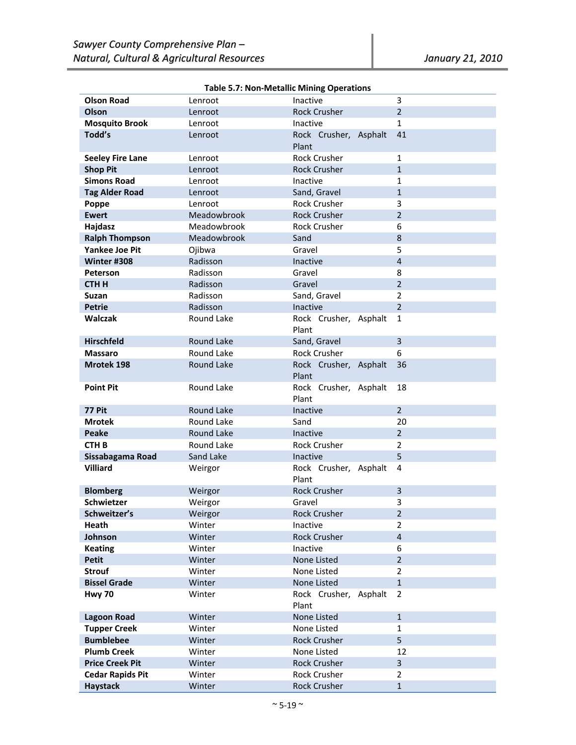|                         |                   | Table 5.7: Non-Metallic Milling Operations |                |
|-------------------------|-------------------|--------------------------------------------|----------------|
| <b>Olson Road</b>       | Lenroot           | Inactive                                   | 3              |
| Olson                   | Lenroot           | <b>Rock Crusher</b>                        | $\overline{2}$ |
| <b>Mosquito Brook</b>   | Lenroot           | Inactive                                   | $\mathbf{1}$   |
| Todd's                  | Lenroot           | Rock Crusher, Asphalt                      | 41             |
|                         |                   | Plant                                      |                |
| <b>Seeley Fire Lane</b> | Lenroot           | <b>Rock Crusher</b>                        | $\mathbf{1}$   |
| <b>Shop Pit</b>         | Lenroot           | <b>Rock Crusher</b>                        | $\mathbf{1}$   |
| <b>Simons Road</b>      | Lenroot           | Inactive                                   | $\mathbf{1}$   |
| <b>Tag Alder Road</b>   | Lenroot           | Sand, Gravel                               | $\mathbf{1}$   |
| Poppe                   | Lenroot           | <b>Rock Crusher</b>                        | 3              |
| <b>Ewert</b>            | Meadowbrook       | <b>Rock Crusher</b>                        | $\overline{2}$ |
| Hajdasz                 | Meadowbrook       | <b>Rock Crusher</b>                        | 6              |
| <b>Ralph Thompson</b>   | Meadowbrook       | Sand                                       | 8              |
| <b>Yankee Joe Pit</b>   | Ojibwa            | Gravel                                     | 5              |
| Winter #308             | Radisson          | Inactive                                   | $\overline{4}$ |
| Peterson                | Radisson          | Gravel                                     | 8              |
| <b>CTHH</b>             | Radisson          | Gravel                                     | $\overline{2}$ |
| <b>Suzan</b>            | Radisson          | Sand, Gravel                               | $\overline{2}$ |
| <b>Petrie</b>           | Radisson          | Inactive                                   | $\overline{2}$ |
| <b>Walczak</b>          | Round Lake        | Rock Crusher, Asphalt                      | $\mathbf{1}$   |
|                         |                   | Plant                                      |                |
| <b>Hirschfeld</b>       | Round Lake        | Sand, Gravel                               | $\overline{3}$ |
| <b>Massaro</b>          | Round Lake        | <b>Rock Crusher</b>                        | 6              |
| Mrotek 198              | Round Lake        | Rock Crusher, Asphalt                      | 36             |
|                         |                   | Plant                                      |                |
| <b>Point Pit</b>        | Round Lake        | Rock Crusher, Asphalt                      | 18             |
|                         |                   | Plant                                      |                |
| <b>77 Pit</b>           | <b>Round Lake</b> | Inactive                                   | $\overline{2}$ |
| <b>Mrotek</b>           | Round Lake        | Sand                                       | 20             |
| <b>Peake</b>            | <b>Round Lake</b> | Inactive                                   | $\overline{2}$ |
| <b>CTH B</b>            | Round Lake        | <b>Rock Crusher</b>                        | $\overline{2}$ |
| Sissabagama Road        | Sand Lake         | <b>Inactive</b>                            | 5              |
| <b>Villiard</b>         | Weirgor           | Rock Crusher, Asphalt                      | 4              |
|                         |                   | Plant                                      |                |
| <b>Blomberg</b>         | Weirgor           | <b>Rock Crusher</b>                        | 3              |
| Schwietzer              | Weirgor           | Gravel                                     | 3              |
| Schweitzer's            | Weirgor           | <b>Rock Crusher</b>                        | 2              |
| Heath                   | Winter            | Inactive                                   | 2              |
| Johnson                 | Winter            | <b>Rock Crusher</b>                        | $\overline{4}$ |
| <b>Keating</b>          | Winter            | Inactive                                   | 6              |
| <b>Petit</b>            | Winter            | None Listed                                | $\overline{2}$ |
| <b>Strouf</b>           | Winter            | None Listed                                | $\overline{2}$ |
| <b>Bissel Grade</b>     | Winter            | None Listed                                | $\mathbf{1}$   |
| <b>Hwy 70</b>           | Winter            | Rock Crusher, Asphalt                      | 2              |
|                         |                   | Plant                                      |                |
| <b>Lagoon Road</b>      | Winter            | None Listed                                | $\mathbf 1$    |
| <b>Tupper Creek</b>     | Winter            | None Listed                                | $\mathbf{1}$   |
| <b>Bumblebee</b>        | Winter            | <b>Rock Crusher</b>                        | 5              |
| <b>Plumb Creek</b>      | Winter            | None Listed                                | 12             |
| <b>Price Creek Pit</b>  | Winter            | <b>Rock Crusher</b>                        | 3              |
| <b>Cedar Rapids Pit</b> | Winter            | <b>Rock Crusher</b>                        | $\overline{2}$ |
| Haystack                | Winter            | <b>Rock Crusher</b>                        | $\mathbf{1}$   |

# **Table 5.7: Non‐Metallic Mining Operations**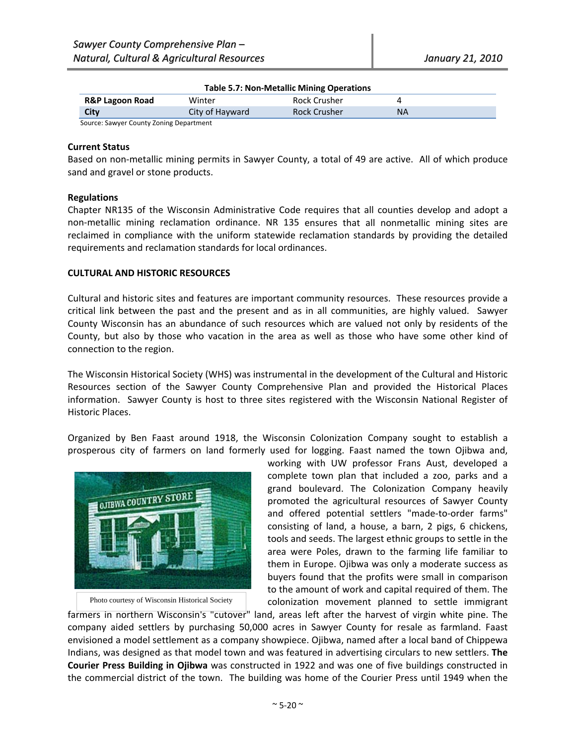| Table 5.7: Non-Metallic Mining Operations |                 |                     |           |  |
|-------------------------------------------|-----------------|---------------------|-----------|--|
| <b>R&amp;P Lagoon Road</b>                | Winter          | Rock Crusher        |           |  |
| <b>City</b>                               | City of Hayward | <b>Rock Crusher</b> | <b>NA</b> |  |
| Source: Sawyer County Zoning Denartment   |                 |                     |           |  |

#### **Table 5.7: Non‐Metallic Mining Operations**

Source: Sawyer County Zoning Department

#### **Current Status**

Based on non-metallic mining permits in Sawyer County, a total of 49 are active. All of which produce sand and gravel or stone products.

#### **Regulations**

Chapter NR135 of the Wisconsin Administrative Code requires that all counties develop and adopt a non‐metallic mining reclamation ordinance. NR 135 ensures that all nonmetallic mining sites are reclaimed in compliance with the uniform statewide reclamation standards by providing the detailed requirements and reclamation standards for local ordinances.

#### **CULTURAL AND HISTORIC RESOURCES**

Cultural and historic sites and features are important community resources. These resources provide a critical link between the past and the present and as in all communities, are highly valued. Sawyer County Wisconsin has an abundance of such resources which are valued not only by residents of the County, but also by those who vacation in the area as well as those who have some other kind of connection to the region.

The Wisconsin Historical Society (WHS) was instrumental in the development of the Cultural and Historic Resources section of the Sawyer County Comprehensive Plan and provided the Historical Places information. Sawyer County is host to three sites registered with the Wisconsin National Register of Historic Places.

Organized by Ben Faast around 1918, the Wisconsin Colonization Company sought to establish a prosperous city of farmers on land formerly used for logging. Faast named the town Ojibwa and,



Photo courtesy of Wisconsin Historical Society

working with UW professor Frans Aust, developed a complete town plan that included a zoo, parks and a grand boulevard. The Colonization Company heavily promoted the agricultural resources of Sawyer County and offered potential settlers "made‐to‐order farms" consisting of land, a house, a barn, 2 pigs, 6 chickens, tools and seeds. The largest ethnic groups to settle in the area were Poles, drawn to the farming life familiar to them in Europe. Ojibwa was only a moderate success as buyers found that the profits were small in comparison to the amount of work and capital required of them. The colonization movement planned to settle immigrant

farmers in northern Wisconsin's "cutover" land, areas left after the harvest of virgin white pine. The company aided settlers by purchasing 50,000 acres in Sawyer County for resale as farmland. Faast envisioned a model settlement as a company showpiece. Ojibwa, named after a local band of Chippewa Indians, was designed as that model town and was featured in advertising circulars to new settlers. **The Courier Press Building in Ojibwa** was constructed in 1922 and was one of five buildings constructed in the commercial district of the town. The building was home of the Courier Press until 1949 when the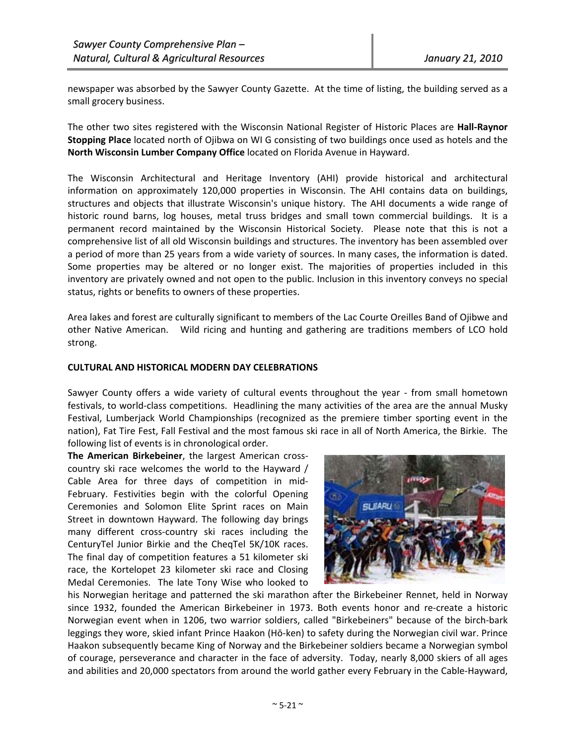newspaper was absorbed by the Sawyer County Gazette. At the time of listing, the building served as a small grocery business.

The other two sites registered with the Wisconsin National Register of Historic Places are **Hall‐Raynor Stopping Place** located north of Ojibwa on WI G consisting of two buildings once used as hotels and the **North Wisconsin Lumber Company Office** located on Florida Avenue in Hayward.

The Wisconsin Architectural and Heritage Inventory (AHI) provide historical and architectural information on approximately 120,000 properties in Wisconsin. The AHI contains data on buildings, structures and objects that illustrate Wisconsin's unique history. The AHI documents a wide range of historic round barns, log houses, metal truss bridges and small town commercial buildings. It is a permanent record maintained by the Wisconsin Historical Society. Please note that this is not a comprehensive list of all old Wisconsin buildings and structures. The inventory has been assembled over a period of more than 25 years from a wide variety of sources. In many cases, the information is dated. Some properties may be altered or no longer exist. The majorities of properties included in this inventory are privately owned and not open to the public. Inclusion in this inventory conveys no special status, rights or benefits to owners of these properties.

Area lakes and forest are culturally significant to members of the Lac Courte Oreilles Band of Ojibwe and other Native American. Wild ricing and hunting and gathering are traditions members of LCO hold strong.

#### **CULTURAL AND HISTORICAL MODERN DAY CELEBRATIONS**

Sawyer County offers a wide variety of cultural events throughout the year - from small hometown festivals, to world‐class competitions. Headlining the many activities of the area are the annual Musky Festival, Lumberjack World Championships (recognized as the premiere timber sporting event in the nation), Fat Tire Fest, Fall Festival and the most famous ski race in all of North America, the Birkie. The following list of events is in chronological order.

**The American Birkebeiner**, the largest American cross‐ country ski race welcomes the world to the Hayward / Cable Area for three days of competition in mid‐ February. Festivities begin with the colorful Opening Ceremonies and Solomon Elite Sprint races on Main Street in downtown Hayward. The following day brings many different cross‐country ski races including the CenturyTel Junior Birkie and the CheqTel 5K/10K races. The final day of competition features a 51 kilometer ski race, the Kortelopet 23 kilometer ski race and Closing Medal Ceremonies. The late Tony Wise who looked to



his Norwegian heritage and patterned the ski marathon after the Birkebeiner Rennet, held in Norway since 1932, founded the American Birkebeiner in 1973. Both events honor and re-create a historic Norwegian event when in 1206, two warrior soldiers, called "Birkebeiners" because of the birch‐bark leggings they wore, skied infant Prince Haakon (Hō‐ken) to safety during the Norwegian civil war. Prince Haakon subsequently became King of Norway and the Birkebeiner soldiers became a Norwegian symbol of courage, perseverance and character in the face of adversity. Today, nearly 8,000 skiers of all ages and abilities and 20,000 spectators from around the world gather every February in the Cable‐Hayward,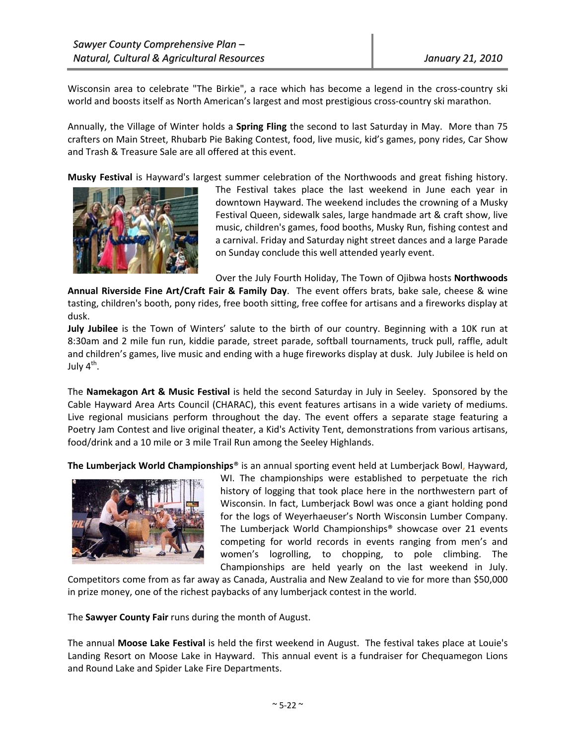Wisconsin area to celebrate "The Birkie", a race which has become a legend in the cross-country ski world and boosts itself as North American's largest and most prestigious cross-country ski marathon.

Annually, the Village of Winter holds a **Spring Fling** the second to last Saturday in May. More than 75 crafters on Main Street, Rhubarb Pie Baking Contest, food, live music, kid's games, pony rides, Car Show and Trash & Treasure Sale are all offered at this event.

**Musky Festival** is Hayward's largest summer celebration of the Northwoods and great fishing history.



The Festival takes place the last weekend in June each year in downtown Hayward. The weekend includes the crowning of a Musky Festival Queen, sidewalk sales, large handmade art & craft show, live music, children's games, food booths, Musky Run, fishing contest and a carnival. Friday and Saturday night street dances and a large Parade on Sunday conclude this well attended yearly event.

Over the July Fourth Holiday, The Town of Ojibwa hosts **Northwoods**

**Annual Riverside Fine Art/Craft Fair & Family Day**. The event offers brats, bake sale, cheese & wine tasting, children's booth, pony rides, free booth sitting, free coffee for artisans and a fireworks display at dusk.

**July Jubilee** is the Town of Winters' salute to the birth of our country. Beginning with a 10K run at 8:30am and 2 mile fun run, kiddie parade, street parade, softball tournaments, truck pull, raffle, adult and children's games, live music and ending with a huge fireworks display at dusk. July Jubilee is held on July  $4^{\text{th}}$ .

The **Namekagon Art & Music Festival** is held the second Saturday in July in Seeley. Sponsored by the Cable Hayward Area Arts Council (CHARAC), this event features artisans in a wide variety of mediums. Live regional musicians perform throughout the day. The event offers a separate stage featuring a Poetry Jam Contest and live original theater, a Kid's Activity Tent, demonstrations from various artisans, food/drink and a 10 mile or 3 mile Trail Run among the Seeley Highlands.

**The Lumberjack World Championships**® is an annual sporting event held at Lumberjack Bowl, Hayward,



WI. The championships were established to perpetuate the rich history of logging that took place here in the northwestern part of Wisconsin. In fact, Lumberjack Bowl was once a giant holding pond for the logs of Weyerhaeuser's North Wisconsin Lumber Company. The Lumberjack World Championships® showcase over 21 events competing for world records in events ranging from men's and women's logrolling, to chopping, to pole climbing. The Championships are held yearly on the last weekend in July.

Competitors come from as far away as Canada, Australia and New Zealand to vie for more than \$50,000 in prize money, one of the richest paybacks of any lumberjack contest in the world.

The **Sawyer County Fair** runs during the month of August.

The annual **Moose Lake Festival** is held the first weekend in August. The festival takes place at Louie's Landing Resort on Moose Lake in Hayward. This annual event is a fundraiser for Chequamegon Lions and Round Lake and Spider Lake Fire Departments.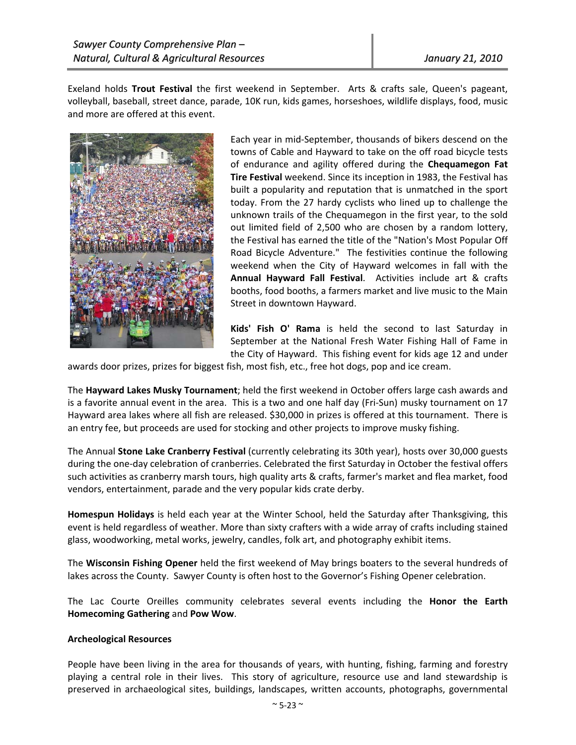Exeland holds **Trout Festival** the first weekend in September. Arts & crafts sale, Queen's pageant, volleyball, baseball, street dance, parade, 10K run, kids games, horseshoes, wildlife displays, food, music and more are offered at this event.



Each year in mid‐September, thousands of bikers descend on the towns of Cable and Hayward to take on the off road bicycle tests of endurance and agility offered during the **Chequamegon Fat Tire Festival** weekend. Since its inception in 1983, the Festival has built a popularity and reputation that is unmatched in the sport today. From the 27 hardy cyclists who lined up to challenge the unknown trails of the Chequamegon in the first year, to the sold out limited field of 2,500 who are chosen by a random lottery, the Festival has earned the title of the "Nation's Most Popular Off Road Bicycle Adventure." The festivities continue the following weekend when the City of Hayward welcomes in fall with the **Annual Hayward Fall Festival**. Activities include art & crafts booths, food booths, a farmers market and live music to the Main Street in downtown Hayward.

**Kids' Fish O' Rama** is held the second to last Saturday in September at the National Fresh Water Fishing Hall of Fame in the City of Hayward. This fishing event for kids age 12 and under

awards door prizes, prizes for biggest fish, most fish, etc., free hot dogs, pop and ice cream.

The **Hayward Lakes Musky Tournament**; held the first weekend in October offers large cash awards and is a favorite annual event in the area. This is a two and one half day (Fri-Sun) musky tournament on 17 Hayward area lakes where all fish are released. \$30,000 in prizes is offered at this tournament. There is an entry fee, but proceeds are used for stocking and other projects to improve musky fishing.

The Annual **Stone Lake Cranberry Festival** (currently celebrating its 30th year), hosts over 30,000 guests during the one‐day celebration of cranberries. Celebrated the first Saturday in October the festival offers such activities as cranberry marsh tours, high quality arts & crafts, farmer's market and flea market, food vendors, entertainment, parade and the very popular kids crate derby.

**Homespun Holidays** is held each year at the Winter School, held the Saturday after Thanksgiving, this event is held regardless of weather. More than sixty crafters with a wide array of crafts including stained glass, woodworking, metal works, jewelry, candles, folk art, and photography exhibit items.

The **Wisconsin Fishing Opener** held the first weekend of May brings boaters to the several hundreds of lakes across the County. Sawyer County is often host to the Governor's Fishing Opener celebration.

The Lac Courte Oreilles community celebrates several events including the **Honor the Earth Homecoming Gathering** and **Pow Wow**.

#### **Archeological Resources**

People have been living in the area for thousands of years, with hunting, fishing, farming and forestry playing a central role in their lives. This story of agriculture, resource use and land stewardship is preserved in archaeological sites, buildings, landscapes, written accounts, photographs, governmental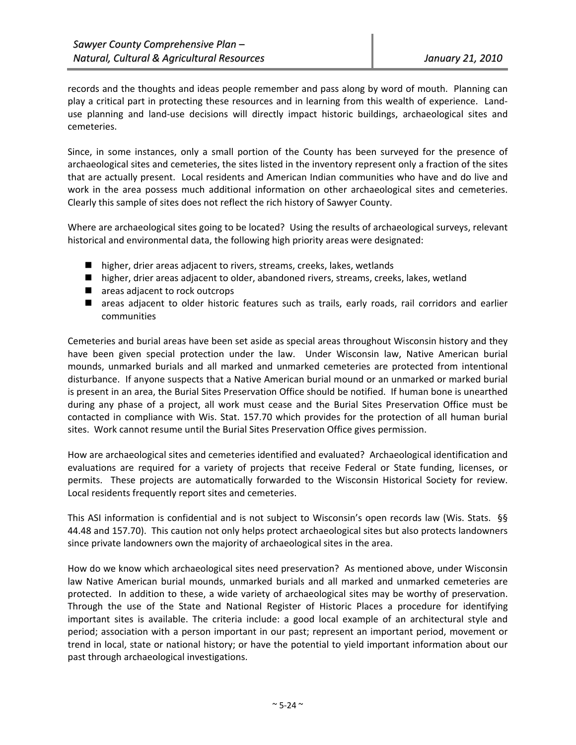records and the thoughts and ideas people remember and pass along by word of mouth. Planning can play a critical part in protecting these resources and in learning from this wealth of experience. Land‐ use planning and land-use decisions will directly impact historic buildings, archaeological sites and cemeteries.

Since, in some instances, only a small portion of the County has been surveyed for the presence of archaeological sites and cemeteries, the sites listed in the inventory represent only a fraction of the sites that are actually present. Local residents and American Indian communities who have and do live and work in the area possess much additional information on other archaeological sites and cemeteries. Clearly this sample of sites does not reflect the rich history of Sawyer County.

Where are archaeological sites going to be located? Using the results of archaeological surveys, relevant historical and environmental data, the following high priority areas were designated:

- higher, drier areas adjacent to rivers, streams, creeks, lakes, wetlands
- higher, drier areas adjacent to older, abandoned rivers, streams, creeks, lakes, wetland
- areas adjacent to rock outcrops
- areas adjacent to older historic features such as trails, early roads, rail corridors and earlier communities

Cemeteries and burial areas have been set aside as special areas throughout Wisconsin history and they have been given special protection under the law. Under Wisconsin law, Native American burial mounds, unmarked burials and all marked and unmarked cemeteries are protected from intentional disturbance. If anyone suspects that a Native American burial mound or an unmarked or marked burial is present in an area, the Burial Sites Preservation Office should be notified. If human bone is unearthed during any phase of a project, all work must cease and the Burial Sites Preservation Office must be contacted in compliance with Wis. Stat. 157.70 which provides for the protection of all human burial sites. Work cannot resume until the Burial Sites Preservation Office gives permission.

How are archaeological sites and cemeteries identified and evaluated? Archaeological identification and evaluations are required for a variety of projects that receive Federal or State funding, licenses, or permits. These projects are automatically forwarded to the Wisconsin Historical Society for review. Local residents frequently report sites and cemeteries.

This ASI information is confidential and is not subject to Wisconsin's open records law (Wis. Stats. §§ 44.48 and 157.70). This caution not only helps protect archaeological sites but also protects landowners since private landowners own the majority of archaeological sites in the area.

How do we know which archaeological sites need preservation? As mentioned above, under Wisconsin law Native American burial mounds, unmarked burials and all marked and unmarked cemeteries are protected. In addition to these, a wide variety of archaeological sites may be worthy of preservation. Through the use of the State and National Register of Historic Places a procedure for identifying important sites is available. The criteria include: a good local example of an architectural style and period; association with a person important in our past; represent an important period, movement or trend in local, state or national history; or have the potential to yield important information about our past through archaeological investigations.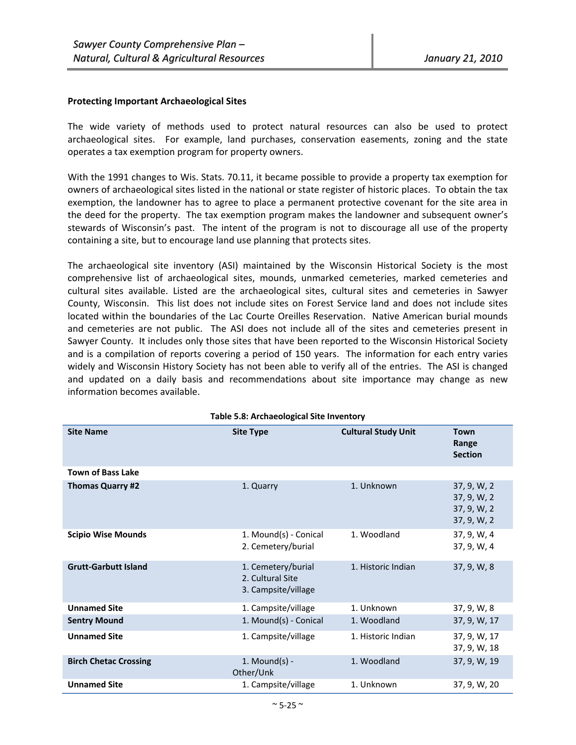#### **Protecting Important Archaeological Sites**

The wide variety of methods used to protect natural resources can also be used to protect archaeological sites. For example, land purchases, conservation easements, zoning and the state operates a tax exemption program for property owners.

With the 1991 changes to Wis. Stats. 70.11, it became possible to provide a property tax exemption for owners of archaeological sites listed in the national or state register of historic places. To obtain the tax exemption, the landowner has to agree to place a permanent protective covenant for the site area in the deed for the property. The tax exemption program makes the landowner and subsequent owner's stewards of Wisconsin's past. The intent of the program is not to discourage all use of the property containing a site, but to encourage land use planning that protects sites.

The archaeological site inventory (ASI) maintained by the Wisconsin Historical Society is the most comprehensive list of archaeological sites, mounds, unmarked cemeteries, marked cemeteries and cultural sites available. Listed are the archaeological sites, cultural sites and cemeteries in Sawyer County, Wisconsin. This list does not include sites on Forest Service land and does not include sites located within the boundaries of the Lac Courte Oreilles Reservation. Native American burial mounds and cemeteries are not public. The ASI does not include all of the sites and cemeteries present in Sawyer County. It includes only those sites that have been reported to the Wisconsin Historical Society and is a compilation of reports covering a period of 150 years. The information for each entry varies widely and Wisconsin History Society has not been able to verify all of the entries. The ASI is changed and updated on a daily basis and recommendations about site importance may change as new information becomes available.

| $5.0.71$ chacological site inventor $\lambda$ |                                                               |                            |                                                          |
|-----------------------------------------------|---------------------------------------------------------------|----------------------------|----------------------------------------------------------|
| <b>Site Name</b>                              | <b>Site Type</b>                                              | <b>Cultural Study Unit</b> | <b>Town</b><br>Range<br><b>Section</b>                   |
| <b>Town of Bass Lake</b>                      |                                                               |                            |                                                          |
| Thomas Quarry #2                              | 1. Quarry                                                     | 1. Unknown                 | 37, 9, W, 2<br>37, 9, W, 2<br>37, 9, W, 2<br>37, 9, W, 2 |
| <b>Scipio Wise Mounds</b>                     | 1. Mound(s) - Conical<br>2. Cemetery/burial                   | 1. Woodland                | 37, 9, W, 4<br>37, 9, W, 4                               |
| <b>Grutt-Garbutt Island</b>                   | 1. Cemetery/burial<br>2. Cultural Site<br>3. Campsite/village | 1. Historic Indian         | 37, 9, W, 8                                              |
| <b>Unnamed Site</b>                           | 1. Campsite/village                                           | 1. Unknown                 | 37, 9, W, 8                                              |
| <b>Sentry Mound</b>                           | 1. Mound(s) - Conical                                         | 1. Woodland                | 37, 9, W, 17                                             |
| <b>Unnamed Site</b>                           | 1. Campsite/village                                           | 1. Historic Indian         | 37, 9, W, 17<br>37, 9, W, 18                             |
| <b>Birch Chetac Crossing</b>                  | 1. Mound $(s)$ -<br>Other/Unk                                 | 1. Woodland                | 37, 9, W, 19                                             |
| <b>Unnamed Site</b>                           | 1. Campsite/village                                           | 1. Unknown                 | 37, 9, W, 20                                             |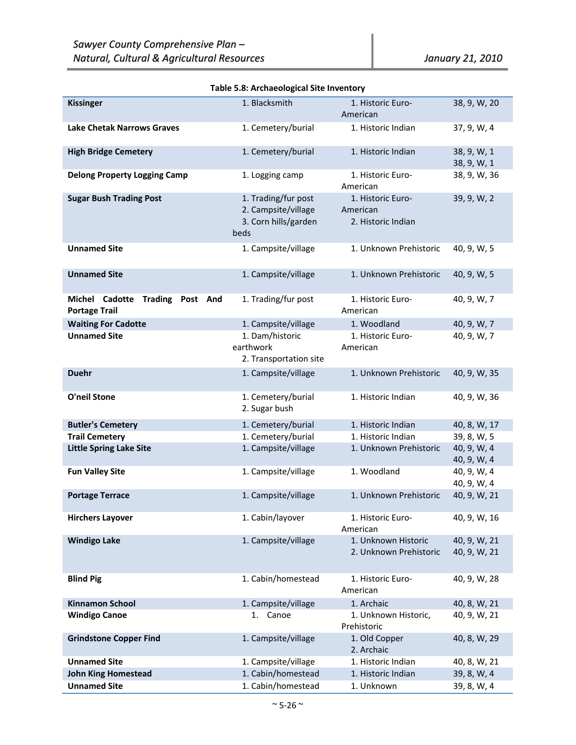| <b>Kissinger</b>                                           | 1. Blacksmith                                                              | 1. Historic Euro-<br>American                       | 38, 9, W, 20               |
|------------------------------------------------------------|----------------------------------------------------------------------------|-----------------------------------------------------|----------------------------|
| <b>Lake Chetak Narrows Graves</b>                          | 1. Cemetery/burial                                                         | 1. Historic Indian                                  | 37, 9, W, 4                |
| <b>High Bridge Cemetery</b>                                | 1. Cemetery/burial                                                         | 1. Historic Indian                                  | 38, 9, W, 1<br>38, 9, W, 1 |
| <b>Delong Property Logging Camp</b>                        | 1. Logging camp                                                            | 1. Historic Euro-<br>American                       | 38, 9, W, 36               |
| <b>Sugar Bush Trading Post</b>                             | 1. Trading/fur post<br>2. Campsite/village<br>3. Corn hills/garden<br>beds | 1. Historic Euro-<br>American<br>2. Historic Indian | 39, 9, W, 2                |
| <b>Unnamed Site</b>                                        | 1. Campsite/village                                                        | 1. Unknown Prehistoric                              | 40, 9, W, 5                |
| <b>Unnamed Site</b>                                        | 1. Campsite/village                                                        | 1. Unknown Prehistoric                              | 40, 9, W, 5                |
| Michel Cadotte Trading<br>Post And<br><b>Portage Trail</b> | 1. Trading/fur post                                                        | 1. Historic Euro-<br>American                       | 40, 9, W, 7                |
| <b>Waiting For Cadotte</b>                                 | 1. Campsite/village                                                        | 1. Woodland                                         | 40, 9, W, 7                |
| <b>Unnamed Site</b>                                        | 1. Dam/historic                                                            | 1. Historic Euro-                                   | 40, 9, W, 7                |
|                                                            | earthwork                                                                  | American                                            |                            |
|                                                            | 2. Transportation site                                                     |                                                     |                            |
|                                                            |                                                                            |                                                     |                            |
| <b>Duehr</b>                                               | 1. Campsite/village                                                        | 1. Unknown Prehistoric                              | 40, 9, W, 35               |
| <b>O'neil Stone</b>                                        | 1. Cemetery/burial<br>2. Sugar bush                                        | 1. Historic Indian                                  | 40, 9, W, 36               |
| <b>Butler's Cemetery</b>                                   | 1. Cemetery/burial                                                         | 1. Historic Indian                                  | 40, 8, W, 17               |
| <b>Trail Cemetery</b>                                      | 1. Cemetery/burial                                                         | 1. Historic Indian                                  | 39, 8, W, 5                |
| <b>Little Spring Lake Site</b>                             | 1. Campsite/village                                                        | 1. Unknown Prehistoric                              | 40, 9, W, 4                |
|                                                            |                                                                            |                                                     | 40, 9, W, 4                |
|                                                            | 1. Campsite/village                                                        | 1. Woodland                                         | 40, 9, W, 4                |
| <b>Fun Valley Site</b>                                     |                                                                            |                                                     |                            |
|                                                            |                                                                            |                                                     | 40, 9, W, 4                |
| <b>Portage Terrace</b>                                     | 1. Campsite/village                                                        | 1. Unknown Prehistoric                              | 40, 9, W, 21               |
| <b>Hirchers Layover</b>                                    | 1. Cabin/layover                                                           | 1. Historic Euro-<br>American                       | 40, 9, W, 16               |
| <b>Windigo Lake</b>                                        | 1. Campsite/village                                                        | 1. Unknown Historic                                 | 40, 9, W, 21               |
|                                                            |                                                                            | 2. Unknown Prehistoric                              | 40, 9, W, 21               |
|                                                            |                                                                            |                                                     |                            |
|                                                            |                                                                            |                                                     |                            |
| <b>Blind Pig</b>                                           | 1. Cabin/homestead                                                         | 1. Historic Euro-<br>American                       | 40, 9, W, 28               |
| <b>Kinnamon School</b>                                     | 1. Campsite/village                                                        | 1. Archaic                                          | 40, 8, W, 21               |
| <b>Windigo Canoe</b>                                       | 1. Canoe                                                                   | 1. Unknown Historic,                                | 40, 9, W, 21               |
|                                                            |                                                                            | Prehistoric                                         |                            |
| <b>Grindstone Copper Find</b>                              | 1. Campsite/village                                                        | 1. Old Copper                                       | 40, 8, W, 29               |
|                                                            |                                                                            | 2. Archaic                                          |                            |
| <b>Unnamed Site</b>                                        | 1. Campsite/village                                                        | 1. Historic Indian                                  | 40, 8, W, 21               |
| <b>John King Homestead</b>                                 | 1. Cabin/homestead                                                         | 1. Historic Indian                                  | 39, 8, W, 4                |
|                                                            |                                                                            |                                                     |                            |
| <b>Unnamed Site</b>                                        | 1. Cabin/homestead                                                         | 1. Unknown                                          | 39, 8, W, 4                |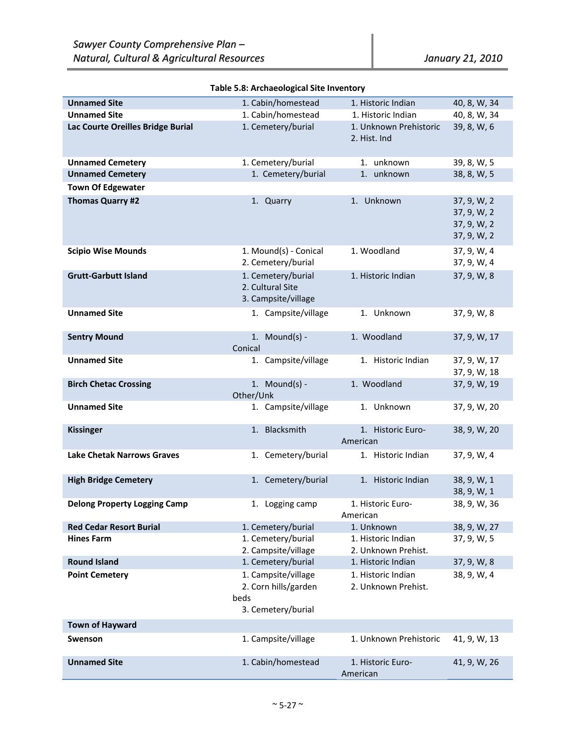| <b>Unnamed Site</b>                 | 1. Cabin/homestead                     | 1. Historic Indian     | 40, 8, W, 34               |
|-------------------------------------|----------------------------------------|------------------------|----------------------------|
| <b>Unnamed Site</b>                 | 1. Cabin/homestead                     | 1. Historic Indian     | 40, 8, W, 34               |
| Lac Courte Oreilles Bridge Burial   | 1. Cemetery/burial                     | 1. Unknown Prehistoric | 39, 8, W, 6                |
|                                     |                                        | 2. Hist. Ind           |                            |
|                                     |                                        |                        |                            |
| <b>Unnamed Cemetery</b>             | 1. Cemetery/burial                     | 1. unknown             | 39, 8, W, 5                |
| <b>Unnamed Cemetery</b>             | 1. Cemetery/burial                     | 1. unknown             | 38, 8, W, 5                |
| <b>Town Of Edgewater</b>            |                                        |                        |                            |
| <b>Thomas Quarry #2</b>             | 1. Quarry                              | 1. Unknown             | 37, 9, W, 2                |
|                                     |                                        |                        | 37, 9, W, 2                |
|                                     |                                        |                        | 37, 9, W, 2<br>37, 9, W, 2 |
|                                     |                                        |                        |                            |
| <b>Scipio Wise Mounds</b>           | 1. Mound(s) - Conical                  | 1. Woodland            | 37, 9, W, 4                |
|                                     | 2. Cemetery/burial                     |                        | 37, 9, W, 4                |
| <b>Grutt-Garbutt Island</b>         | 1. Cemetery/burial<br>2. Cultural Site | 1. Historic Indian     | 37, 9, W, 8                |
|                                     | 3. Campsite/village                    |                        |                            |
|                                     |                                        |                        |                            |
| <b>Unnamed Site</b>                 | 1. Campsite/village                    | 1. Unknown             | 37, 9, W, 8                |
| <b>Sentry Mound</b>                 | 1. Mound $(s)$ -                       | 1. Woodland            | 37, 9, W, 17               |
|                                     | Conical                                |                        |                            |
| <b>Unnamed Site</b>                 | 1. Campsite/village                    | 1. Historic Indian     | 37, 9, W, 17               |
|                                     |                                        |                        | 37, 9, W, 18               |
| <b>Birch Chetac Crossing</b>        | 1. Mound $(s)$ -                       | 1. Woodland            | 37, 9, W, 19               |
|                                     | Other/Unk                              |                        |                            |
| <b>Unnamed Site</b>                 | 1. Campsite/village                    | 1. Unknown             | 37, 9, W, 20               |
|                                     |                                        |                        |                            |
| <b>Kissinger</b>                    | 1. Blacksmith                          | 1. Historic Euro-      | 38, 9, W, 20               |
|                                     |                                        | American               |                            |
| <b>Lake Chetak Narrows Graves</b>   | 1. Cemetery/burial                     | 1. Historic Indian     | 37, 9, W, 4                |
|                                     |                                        |                        |                            |
| <b>High Bridge Cemetery</b>         | 1. Cemetery/burial                     | 1. Historic Indian     | 38, 9, W, 1<br>38, 9, W, 1 |
| <b>Delong Property Logging Camp</b> | 1. Logging camp                        | 1. Historic Euro-      | 38, 9, W, 36               |
|                                     |                                        | American               |                            |
| <b>Red Cedar Resort Burial</b>      | 1. Cemetery/burial                     | 1. Unknown             | 38, 9, W, 27               |
| <b>Hines Farm</b>                   | 1. Cemetery/burial                     | 1. Historic Indian     | 37, 9, W, 5                |
|                                     | 2. Campsite/village                    | 2. Unknown Prehist.    |                            |
| <b>Round Island</b>                 | 1. Cemetery/burial                     | 1. Historic Indian     | 37, 9, W, 8                |
| <b>Point Cemetery</b>               | 1. Campsite/village                    | 1. Historic Indian     | 38, 9, W, 4                |
|                                     | 2. Corn hills/garden                   | 2. Unknown Prehist.    |                            |
|                                     | beds                                   |                        |                            |
|                                     | 3. Cemetery/burial                     |                        |                            |
| <b>Town of Hayward</b>              |                                        |                        |                            |
| Swenson                             | 1. Campsite/village                    | 1. Unknown Prehistoric | 41, 9, W, 13               |
|                                     |                                        |                        |                            |
| <b>Unnamed Site</b>                 | 1. Cabin/homestead                     | 1. Historic Euro-      | 41, 9, W, 26               |
|                                     |                                        | American               |                            |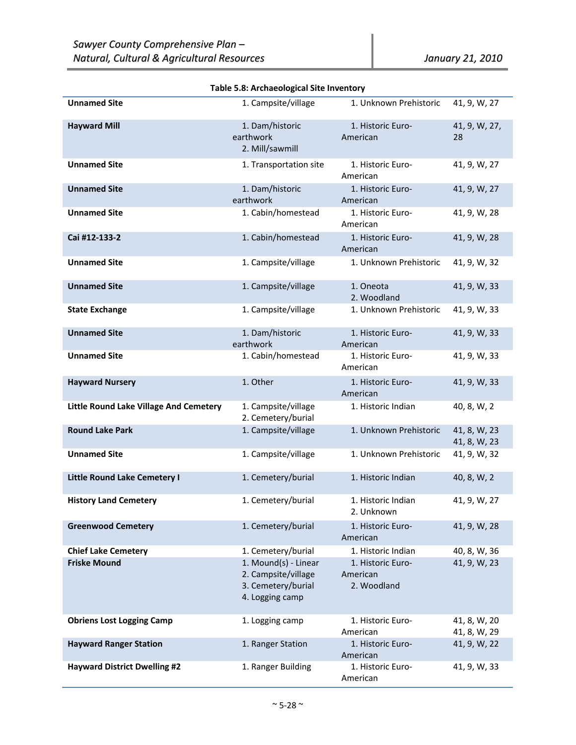| <b>Unnamed Site</b>                           | 1. Campsite/village                                                                  | 1. Unknown Prehistoric                       | 41, 9, W, 27                 |
|-----------------------------------------------|--------------------------------------------------------------------------------------|----------------------------------------------|------------------------------|
| <b>Hayward Mill</b>                           | 1. Dam/historic<br>earthwork<br>2. Mill/sawmill                                      | 1. Historic Euro-<br>American                | 41, 9, W, 27,<br>28          |
| <b>Unnamed Site</b>                           | 1. Transportation site                                                               | 1. Historic Euro-<br>American                | 41, 9, W, 27                 |
| <b>Unnamed Site</b>                           | 1. Dam/historic<br>earthwork                                                         | 1. Historic Euro-<br>American                | 41, 9, W, 27                 |
| <b>Unnamed Site</b>                           | 1. Cabin/homestead                                                                   | 1. Historic Euro-<br>American                | 41, 9, W, 28                 |
| Cai #12-133-2                                 | 1. Cabin/homestead                                                                   | 1. Historic Euro-<br>American                | 41, 9, W, 28                 |
| <b>Unnamed Site</b>                           | 1. Campsite/village                                                                  | 1. Unknown Prehistoric                       | 41, 9, W, 32                 |
| <b>Unnamed Site</b>                           | 1. Campsite/village                                                                  | 1. Oneota<br>2. Woodland                     | 41, 9, W, 33                 |
| <b>State Exchange</b>                         | 1. Campsite/village                                                                  | 1. Unknown Prehistoric                       | 41, 9, W, 33                 |
| <b>Unnamed Site</b>                           | 1. Dam/historic<br>earthwork                                                         | 1. Historic Euro-<br>American                | 41, 9, W, 33                 |
| <b>Unnamed Site</b>                           | 1. Cabin/homestead                                                                   | 1. Historic Euro-<br>American                | 41, 9, W, 33                 |
| <b>Hayward Nursery</b>                        | 1. Other                                                                             | 1. Historic Euro-<br>American                | 41, 9, W, 33                 |
| <b>Little Round Lake Village And Cemetery</b> | 1. Campsite/village<br>2. Cemetery/burial                                            | 1. Historic Indian                           | 40, 8, W, 2                  |
| <b>Round Lake Park</b>                        | 1. Campsite/village                                                                  | 1. Unknown Prehistoric                       | 41, 8, W, 23<br>41, 8, W, 23 |
| <b>Unnamed Site</b>                           | 1. Campsite/village                                                                  | 1. Unknown Prehistoric                       | 41, 9, W, 32                 |
| <b>Little Round Lake Cemetery I</b>           | 1. Cemetery/burial                                                                   | 1. Historic Indian                           | 40, 8, W, 2                  |
| <b>History Land Cemetery</b>                  | 1. Cemetery/burial                                                                   | 1. Historic Indian<br>2. Unknown             | 41, 9, W, 27                 |
| <b>Greenwood Cemetery</b>                     | 1. Cemetery/burial                                                                   | 1. Historic Euro-<br>American                | 41, 9, W, 28                 |
| <b>Chief Lake Cemetery</b>                    | 1. Cemetery/burial                                                                   | 1. Historic Indian                           | 40, 8, W, 36                 |
| <b>Friske Mound</b>                           | 1. Mound(s) - Linear<br>2. Campsite/village<br>3. Cemetery/burial<br>4. Logging camp | 1. Historic Euro-<br>American<br>2. Woodland | 41, 9, W, 23                 |
| <b>Obriens Lost Logging Camp</b>              | 1. Logging camp                                                                      | 1. Historic Euro-<br>American                | 41, 8, W, 20<br>41, 8, W, 29 |
| <b>Hayward Ranger Station</b>                 | 1. Ranger Station                                                                    | 1. Historic Euro-<br>American                | 41, 9, W, 22                 |
| <b>Hayward District Dwelling #2</b>           | 1. Ranger Building                                                                   | 1. Historic Euro-                            | 41, 9, W, 33                 |

American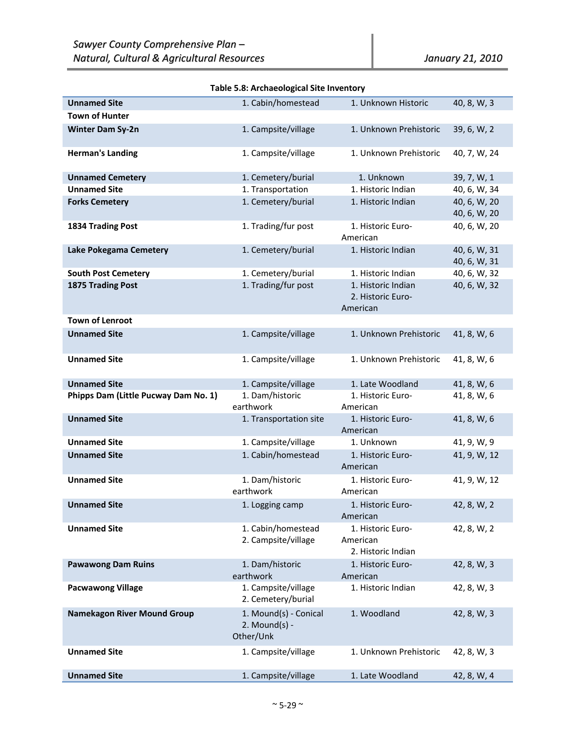| <b>Unnamed Site</b>                  | 1. Cabin/homestead                                     | 1. Unknown Historic                                 | 40, 8, W, 3                  |
|--------------------------------------|--------------------------------------------------------|-----------------------------------------------------|------------------------------|
| <b>Town of Hunter</b>                |                                                        |                                                     |                              |
| <b>Winter Dam Sy-2n</b>              | 1. Campsite/village                                    | 1. Unknown Prehistoric                              | 39, 6, W, 2                  |
| <b>Herman's Landing</b>              | 1. Campsite/village                                    | 1. Unknown Prehistoric                              | 40, 7, W, 24                 |
| <b>Unnamed Cemetery</b>              | 1. Cemetery/burial                                     | 1. Unknown                                          | 39, 7, W, 1                  |
| <b>Unnamed Site</b>                  | 1. Transportation                                      | 1. Historic Indian                                  | 40, 6, W, 34                 |
| <b>Forks Cemetery</b>                | 1. Cemetery/burial                                     | 1. Historic Indian                                  | 40, 6, W, 20<br>40, 6, W, 20 |
| 1834 Trading Post                    | 1. Trading/fur post                                    | 1. Historic Euro-<br>American                       | 40, 6, W, 20                 |
| Lake Pokegama Cemetery               | 1. Cemetery/burial                                     | 1. Historic Indian                                  | 40, 6, W, 31<br>40, 6, W, 31 |
| <b>South Post Cemetery</b>           | 1. Cemetery/burial                                     | 1. Historic Indian                                  | 40, 6, W, 32                 |
| <b>1875 Trading Post</b>             | 1. Trading/fur post                                    | 1. Historic Indian<br>2. Historic Euro-<br>American | 40, 6, W, 32                 |
| <b>Town of Lenroot</b>               |                                                        |                                                     |                              |
| <b>Unnamed Site</b>                  | 1. Campsite/village                                    | 1. Unknown Prehistoric                              | 41, 8, W, 6                  |
| <b>Unnamed Site</b>                  | 1. Campsite/village                                    | 1. Unknown Prehistoric                              | 41, 8, W, 6                  |
| <b>Unnamed Site</b>                  | 1. Campsite/village                                    | 1. Late Woodland                                    | 41, 8, W, 6                  |
| Phipps Dam (Little Pucway Dam No. 1) | 1. Dam/historic<br>earthwork                           | 1. Historic Euro-<br>American                       | 41, 8, W, 6                  |
| <b>Unnamed Site</b>                  | 1. Transportation site                                 | 1. Historic Euro-<br>American                       | 41, 8, W, 6                  |
| <b>Unnamed Site</b>                  | 1. Campsite/village                                    | 1. Unknown                                          | 41, 9, W, 9                  |
| <b>Unnamed Site</b>                  | 1. Cabin/homestead                                     | 1. Historic Euro-                                   | 41, 9, W, 12                 |
|                                      |                                                        |                                                     |                              |
|                                      |                                                        | American                                            |                              |
| <b>Unnamed Site</b>                  | 1. Dam/historic                                        | 1. Historic Euro-                                   | 41, 9, W, 12                 |
|                                      | earthwork                                              | American                                            |                              |
| <b>Unnamed Site</b>                  | 1. Logging camp                                        | 1. Historic Euro-                                   | 42, 8, W, 2                  |
|                                      |                                                        | American                                            |                              |
| <b>Unnamed Site</b>                  | 1. Cabin/homestead<br>2. Campsite/village              | 1. Historic Euro-<br>American<br>2. Historic Indian | 42, 8, W, 2                  |
| <b>Pawawong Dam Ruins</b>            | 1. Dam/historic                                        | 1. Historic Euro-<br>American                       | 42, 8, W, 3                  |
| <b>Pacwawong Village</b>             | earthwork<br>1. Campsite/village<br>2. Cemetery/burial | 1. Historic Indian                                  | 42, 8, W, 3                  |
| <b>Namekagon River Mound Group</b>   | 1. Mound(s) - Conical<br>$2.$ Mound(s) -<br>Other/Unk  | 1. Woodland                                         | 42, 8, W, 3                  |
| <b>Unnamed Site</b>                  | 1. Campsite/village                                    | 1. Unknown Prehistoric                              | 42, 8, W, 3                  |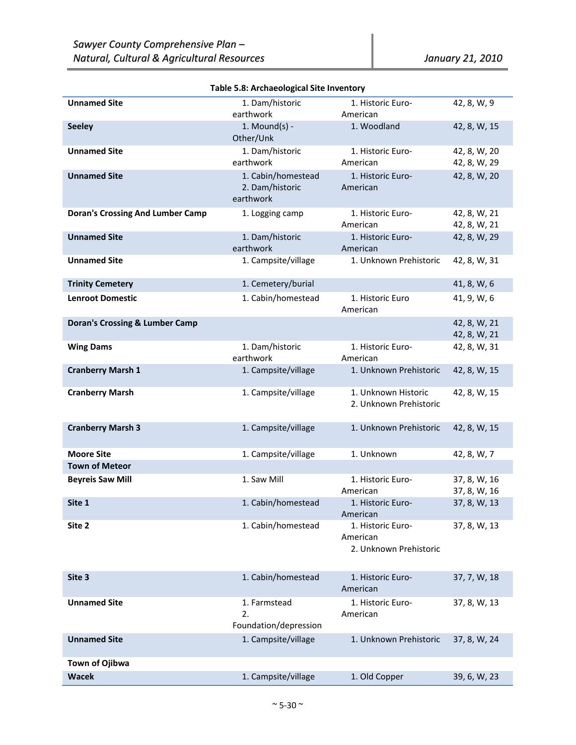| <b>Unnamed Site</b>                       | 1. Dam/historic<br>earthwork                       | 1. Historic Euro-<br>American                           | 42, 8, W, 9                  |
|-------------------------------------------|----------------------------------------------------|---------------------------------------------------------|------------------------------|
| <b>Seeley</b>                             | 1. Mound $(s)$ -<br>Other/Unk                      | 1. Woodland                                             | 42, 8, W, 15                 |
| <b>Unnamed Site</b>                       | 1. Dam/historic<br>earthwork                       | 1. Historic Euro-<br>American                           | 42, 8, W, 20<br>42, 8, W, 29 |
| <b>Unnamed Site</b>                       | 1. Cabin/homestead<br>2. Dam/historic<br>earthwork | 1. Historic Euro-<br>American                           | 42, 8, W, 20                 |
| <b>Doran's Crossing And Lumber Camp</b>   | 1. Logging camp                                    | 1. Historic Euro-<br>American                           | 42, 8, W, 21<br>42, 8, W, 21 |
| <b>Unnamed Site</b>                       | 1. Dam/historic<br>earthwork                       | 1. Historic Euro-<br>American                           | 42, 8, W, 29                 |
| <b>Unnamed Site</b>                       | 1. Campsite/village                                | 1. Unknown Prehistoric                                  | 42, 8, W, 31                 |
| <b>Trinity Cemetery</b>                   | 1. Cemetery/burial                                 |                                                         | 41, 8, W, 6                  |
| <b>Lenroot Domestic</b>                   | 1. Cabin/homestead                                 | 1. Historic Euro<br>American                            | 41, 9, W, 6                  |
| <b>Doran's Crossing &amp; Lumber Camp</b> |                                                    |                                                         | 42, 8, W, 21<br>42, 8, W, 21 |
| <b>Wing Dams</b>                          | 1. Dam/historic<br>earthwork                       | 1. Historic Euro-<br>American                           | 42, 8, W, 31                 |
| <b>Cranberry Marsh 1</b>                  | 1. Campsite/village                                | 1. Unknown Prehistoric                                  | 42, 8, W, 15                 |
| <b>Cranberry Marsh</b>                    | 1. Campsite/village                                | 1. Unknown Historic<br>2. Unknown Prehistoric           | 42, 8, W, 15                 |
| <b>Cranberry Marsh 3</b>                  | 1. Campsite/village                                | 1. Unknown Prehistoric                                  | 42, 8, W, 15                 |
| <b>Moore Site</b>                         | 1. Campsite/village                                | 1. Unknown                                              | 42, 8, W, 7                  |
| <b>Town of Meteor</b>                     |                                                    |                                                         |                              |
| <b>Beyreis Saw Mill</b>                   | 1. Saw Mill                                        | 1. Historic Euro-<br>American                           | 37, 8, W, 16<br>37, 8, W, 16 |
| Site 1                                    | 1. Cabin/homestead                                 | 1. Historic Euro-<br>American                           | 37, 8, W, 13                 |
| Site 2                                    | 1. Cabin/homestead                                 | 1. Historic Euro-<br>American<br>2. Unknown Prehistoric | 37, 8, W, 13                 |
| Site 3                                    | 1. Cabin/homestead                                 | 1. Historic Euro-<br>American                           | 37, 7, W, 18                 |
| <b>Unnamed Site</b>                       | 1. Farmstead<br>2.<br>Foundation/depression        | 1. Historic Euro-<br>American                           | 37, 8, W, 13                 |
| <b>Unnamed Site</b>                       | 1. Campsite/village                                | 1. Unknown Prehistoric                                  | 37, 8, W, 24                 |
| Town of Ojibwa                            |                                                    |                                                         |                              |
| <b>Wacek</b>                              | 1. Campsite/village                                | 1. Old Copper                                           | 39, 6, W, 23                 |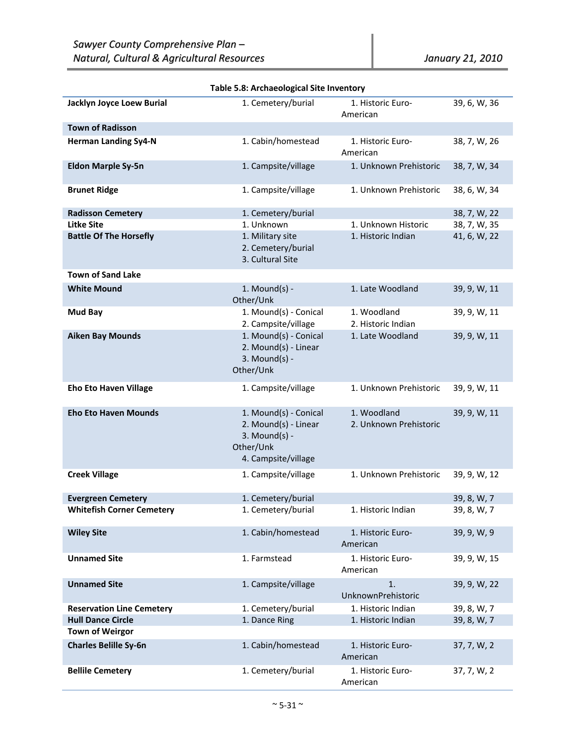| Jacklyn Joyce Loew Burial        | 1. Cemetery/burial                                                                                   | 1. Historic Euro-<br>American         | 39, 6, W, 36 |
|----------------------------------|------------------------------------------------------------------------------------------------------|---------------------------------------|--------------|
| <b>Town of Radisson</b>          |                                                                                                      |                                       |              |
| <b>Herman Landing Sy4-N</b>      | 1. Cabin/homestead                                                                                   | 1. Historic Euro-<br>American         | 38, 7, W, 26 |
| <b>Eldon Marple Sy-5n</b>        | 1. Campsite/village                                                                                  | 1. Unknown Prehistoric                | 38, 7, W, 34 |
| <b>Brunet Ridge</b>              | 1. Campsite/village                                                                                  | 1. Unknown Prehistoric                | 38, 6, W, 34 |
| <b>Radisson Cemetery</b>         | 1. Cemetery/burial                                                                                   |                                       | 38, 7, W, 22 |
| <b>Litke Site</b>                | 1. Unknown                                                                                           | 1. Unknown Historic                   | 38, 7, W, 35 |
| <b>Battle Of The Horsefly</b>    | 1. Military site<br>2. Cemetery/burial<br>3. Cultural Site                                           | 1. Historic Indian                    | 41, 6, W, 22 |
| <b>Town of Sand Lake</b>         |                                                                                                      |                                       |              |
| <b>White Mound</b>               | 1. Mound $(s)$ -<br>Other/Unk                                                                        | 1. Late Woodland                      | 39, 9, W, 11 |
| Mud Bay                          | 1. Mound(s) - Conical<br>2. Campsite/village                                                         | 1. Woodland<br>2. Historic Indian     | 39, 9, W, 11 |
| <b>Aiken Bay Mounds</b>          | 1. Mound(s) - Conical<br>2. Mound(s) - Linear<br>$3.$ Mound(s) -<br>Other/Unk                        | 1. Late Woodland                      | 39, 9, W, 11 |
| <b>Eho Eto Haven Village</b>     | 1. Campsite/village                                                                                  | 1. Unknown Prehistoric                | 39, 9, W, 11 |
| <b>Eho Eto Haven Mounds</b>      | 1. Mound(s) - Conical<br>2. Mound(s) - Linear<br>$3.$ Mound(s) -<br>Other/Unk<br>4. Campsite/village | 1. Woodland<br>2. Unknown Prehistoric | 39, 9, W, 11 |
| <b>Creek Village</b>             | 1. Campsite/village                                                                                  | 1. Unknown Prehistoric                | 39, 9, W, 12 |
| <b>Evergreen Cemetery</b>        | 1. Cemetery/burial                                                                                   |                                       | 39, 8, W, 7  |
| <b>Whitefish Corner Cemetery</b> | 1. Cemetery/burial                                                                                   | 1. Historic Indian                    | 39, 8, W, 7  |
| <b>Wiley Site</b>                | 1. Cabin/homestead                                                                                   | 1. Historic Euro-<br>American         | 39, 9, W, 9  |
| <b>Unnamed Site</b>              | 1. Farmstead                                                                                         | 1. Historic Euro-<br>American         | 39, 9, W, 15 |
| <b>Unnamed Site</b>              | 1. Campsite/village                                                                                  | 1.<br>UnknownPrehistoric              | 39, 9, W, 22 |
| <b>Reservation Line Cemetery</b> | 1. Cemetery/burial                                                                                   | 1. Historic Indian                    | 39, 8, W, 7  |
| <b>Hull Dance Circle</b>         | 1. Dance Ring                                                                                        | 1. Historic Indian                    | 39, 8, W, 7  |
| <b>Town of Weirgor</b>           |                                                                                                      |                                       |              |
| <b>Charles Belille Sy-6n</b>     | 1. Cabin/homestead                                                                                   | 1. Historic Euro-<br>American         | 37, 7, W, 2  |
| <b>Bellile Cemetery</b>          | 1. Cemetery/burial                                                                                   | 1. Historic Euro-<br>American         | 37, 7, W, 2  |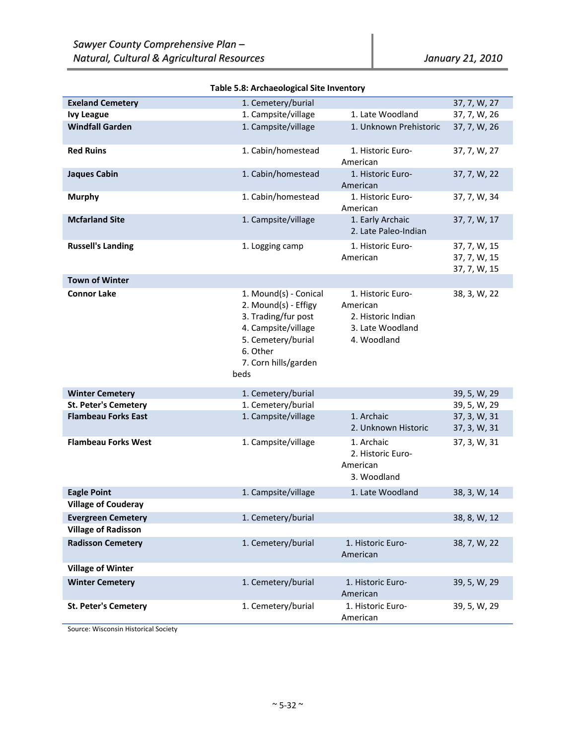| <b>Exeland Cemetery</b>                                 | 1. Cemetery/burial                                                                                                                                            |                                                                                        | 37, 7, W, 27                                 |
|---------------------------------------------------------|---------------------------------------------------------------------------------------------------------------------------------------------------------------|----------------------------------------------------------------------------------------|----------------------------------------------|
| <b>Ivy League</b>                                       | 1. Campsite/village                                                                                                                                           | 1. Late Woodland                                                                       | 37, 7, W, 26                                 |
| <b>Windfall Garden</b>                                  | 1. Campsite/village                                                                                                                                           | 1. Unknown Prehistoric                                                                 | 37, 7, W, 26                                 |
| <b>Red Ruins</b>                                        | 1. Cabin/homestead                                                                                                                                            | 1. Historic Euro-<br>American                                                          | 37, 7, W, 27                                 |
| <b>Jaques Cabin</b>                                     | 1. Cabin/homestead                                                                                                                                            | 1. Historic Euro-<br>American                                                          | 37, 7, W, 22                                 |
| <b>Murphy</b>                                           | 1. Cabin/homestead                                                                                                                                            | 1. Historic Euro-<br>American                                                          | 37, 7, W, 34                                 |
| <b>Mcfarland Site</b>                                   | 1. Campsite/village                                                                                                                                           | 1. Early Archaic<br>2. Late Paleo-Indian                                               | 37, 7, W, 17                                 |
| <b>Russell's Landing</b>                                | 1. Logging camp                                                                                                                                               | 1. Historic Euro-<br>American                                                          | 37, 7, W, 15<br>37, 7, W, 15<br>37, 7, W, 15 |
| <b>Town of Winter</b>                                   |                                                                                                                                                               |                                                                                        |                                              |
| <b>Connor Lake</b>                                      | 1. Mound(s) - Conical<br>2. Mound(s) - Effigy<br>3. Trading/fur post<br>4. Campsite/village<br>5. Cemetery/burial<br>6. Other<br>7. Corn hills/garden<br>beds | 1. Historic Euro-<br>American<br>2. Historic Indian<br>3. Late Woodland<br>4. Woodland | 38, 3, W, 22                                 |
| <b>Winter Cemetery</b>                                  | 1. Cemetery/burial                                                                                                                                            |                                                                                        | 39, 5, W, 29                                 |
| <b>St. Peter's Cemetery</b>                             | 1. Cemetery/burial                                                                                                                                            |                                                                                        | 39, 5, W, 29                                 |
| <b>Flambeau Forks East</b>                              | 1. Campsite/village                                                                                                                                           | 1. Archaic<br>2. Unknown Historic                                                      | 37, 3, W, 31<br>37, 3, W, 31                 |
| <b>Flambeau Forks West</b>                              | 1. Campsite/village                                                                                                                                           | 1. Archaic<br>2. Historic Euro-<br>American<br>3. Woodland                             | 37, 3, W, 31                                 |
| <b>Eagle Point</b>                                      | 1. Campsite/village                                                                                                                                           | 1. Late Woodland                                                                       | 38, 3, W, 14                                 |
| <b>Village of Couderay</b>                              |                                                                                                                                                               |                                                                                        |                                              |
| <b>Evergreen Cemetery</b><br><b>Village of Radisson</b> | 1. Cemetery/burial                                                                                                                                            |                                                                                        | 38, 8, W, 12                                 |
| <b>Radisson Cemetery</b>                                | 1. Cemetery/burial                                                                                                                                            | 1. Historic Euro-<br>American                                                          | 38, 7, W, 22                                 |
| <b>Village of Winter</b>                                |                                                                                                                                                               |                                                                                        |                                              |
| <b>Winter Cemetery</b>                                  | 1. Cemetery/burial                                                                                                                                            | 1. Historic Euro-<br>American                                                          | 39, 5, W, 29                                 |
| <b>St. Peter's Cemetery</b>                             | 1. Cemetery/burial                                                                                                                                            | 1. Historic Euro-<br>American                                                          | 39, 5, W, 29                                 |

Source: Wisconsin Historical Society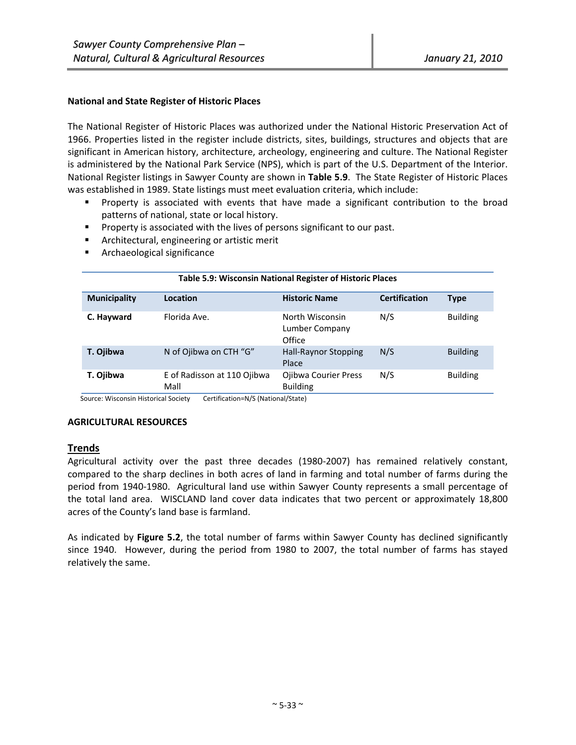## **National and State Register of Historic Places**

The National Register of Historic Places was authorized under the National Historic Preservation Act of 1966. Properties listed in the register include districts, sites, buildings, structures and objects that are significant in American history, architecture, archeology, engineering and culture. The National Register is administered by the National Park Service (NPS), which is part of the U.S. Department of the Interior. National Register listings in Sawyer County are shown in **Table 5.9**. The State Register of Historic Places was established in 1989. State listings must meet evaluation criteria, which include:

- Property is associated with events that have made a significant contribution to the broad patterns of national, state or local history.
- **Property is associated with the lives of persons significant to our past.**
- **F** Architectural, engineering or artistic merit
- **F** Archaeological significance

| Table 5.9: Wisconsin National Register of Historic Places |                                     |                                             |                      |                 |
|-----------------------------------------------------------|-------------------------------------|---------------------------------------------|----------------------|-----------------|
| <b>Municipality</b>                                       | Location                            | <b>Historic Name</b>                        | <b>Certification</b> | Type            |
| C. Hayward                                                | Florida Ave.                        | North Wisconsin<br>Lumber Company<br>Office | N/S                  | <b>Building</b> |
| T. Ojibwa                                                 | N of Ojibwa on CTH "G"              | <b>Hall-Raynor Stopping</b><br>Place        | N/S                  | <b>Building</b> |
| T. Ojibwa                                                 | E of Radisson at 110 Ojibwa<br>Mall | Ojibwa Courier Press<br><b>Building</b>     | N/S                  | <b>Building</b> |

Source: Wisconsin Historical Society Certification=N/S (National/State)

#### **AGRICULTURAL RESOURCES**

# **Trends**

Agricultural activity over the past three decades (1980‐2007) has remained relatively constant, compared to the sharp declines in both acres of land in farming and total number of farms during the period from 1940‐1980. Agricultural land use within Sawyer County represents a small percentage of the total land area. WISCLAND land cover data indicates that two percent or approximately 18,800 acres of the County's land base is farmland.

As indicated by **Figure 5.2**, the total number of farms within Sawyer County has declined significantly since 1940. However, during the period from 1980 to 2007, the total number of farms has stayed relatively the same.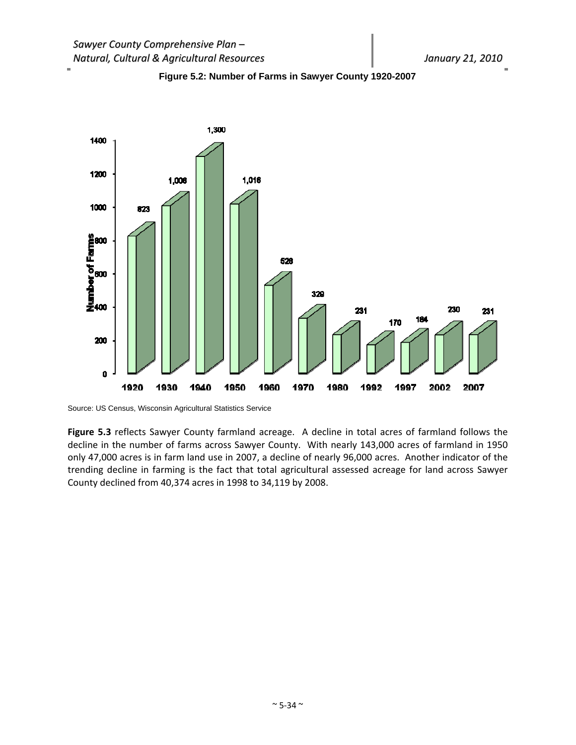i.





Source: US Census, Wisconsin Agricultural Statistics Service

**Figure 5.3** reflects Sawyer County farmland acreage. A decline in total acres of farmland follows the decline in the number of farms across Sawyer County. With nearly 143,000 acres of farmland in 1950 only 47,000 acres is in farm land use in 2007, a decline of nearly 96,000 acres. Another indicator of the trending decline in farming is the fact that total agricultural assessed acreage for land across Sawyer County declined from 40,374 acres in 1998 to 34,119 by 2008.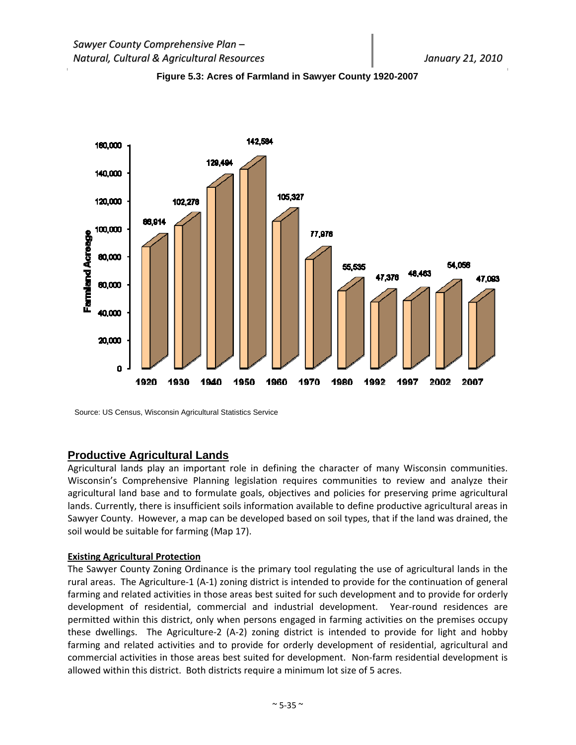



Source: US Census, Wisconsin Agricultural Statistics Service

## **Productive Agricultural Lands**

Agricultural lands play an important role in defining the character of many Wisconsin communities. Wisconsin's Comprehensive Planning legislation requires communities to review and analyze their agricultural land base and to formulate goals, objectives and policies for preserving prime agricultural lands. Currently, there is insufficient soils information available to define productive agricultural areas in Sawyer County. However, a map can be developed based on soil types, that if the land was drained, the soil would be suitable for farming (Map 17).

## **Existing Agricultural Protection**

The Sawyer County Zoning Ordinance is the primary tool regulating the use of agricultural lands in the rural areas. The Agriculture‐1 (A‐1) zoning district is intended to provide for the continuation of general farming and related activities in those areas best suited for such development and to provide for orderly development of residential, commercial and industrial development. Year-round residences are permitted within this district, only when persons engaged in farming activities on the premises occupy these dwellings. The Agriculture‐2 (A‐2) zoning district is intended to provide for light and hobby farming and related activities and to provide for orderly development of residential, agricultural and commercial activities in those areas best suited for development. Non‐farm residential development is allowed within this district. Both districts require a minimum lot size of 5 acres.